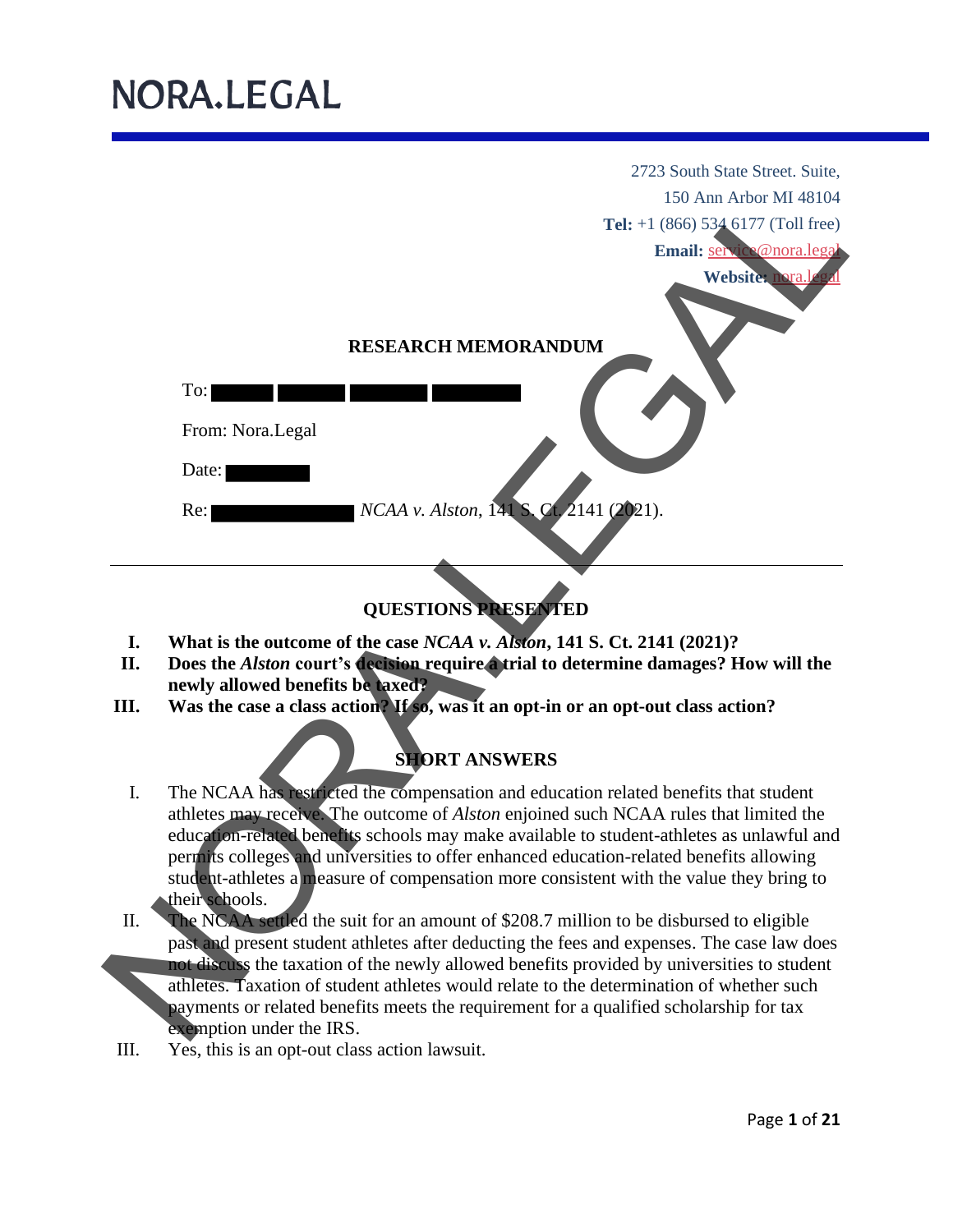

### **QUESTIONS PRESENTED**

- **I. What is the outcome of the case** *NCAA v. Alston***, 141 S. Ct. 2141 (2021)?**
- **II. Does the** *Alston* **court's decision require a trial to determine damages? How will the newly allowed benefits be taxed?**
- **III. Was the case a class action?** If so, was it an opt-in or an opt-out class action?

### **SHORT ANSWERS**

- I. The NCAA has restricted the compensation and education related benefits that student athletes may receive. The outcome of *Alston* enjoined such NCAA rules that limited the education-related benefits schools may make available to student-athletes as unlawful and permits colleges and universities to offer enhanced education-related benefits allowing student-athletes a measure of compensation more consistent with the value they bring to their schools.
- II. The NCAA settled the suit for an amount of \$208.7 million to be disbursed to eligible past and present student athletes after deducting the fees and expenses. The case law does not discuss the taxation of the newly allowed benefits provided by universities to student athletes. Taxation of student athletes would relate to the determination of whether such payments or related benefits meets the requirement for a qualified scholarship for tax exemption under the IRS.
- III. Yes, this is an opt-out class action lawsuit.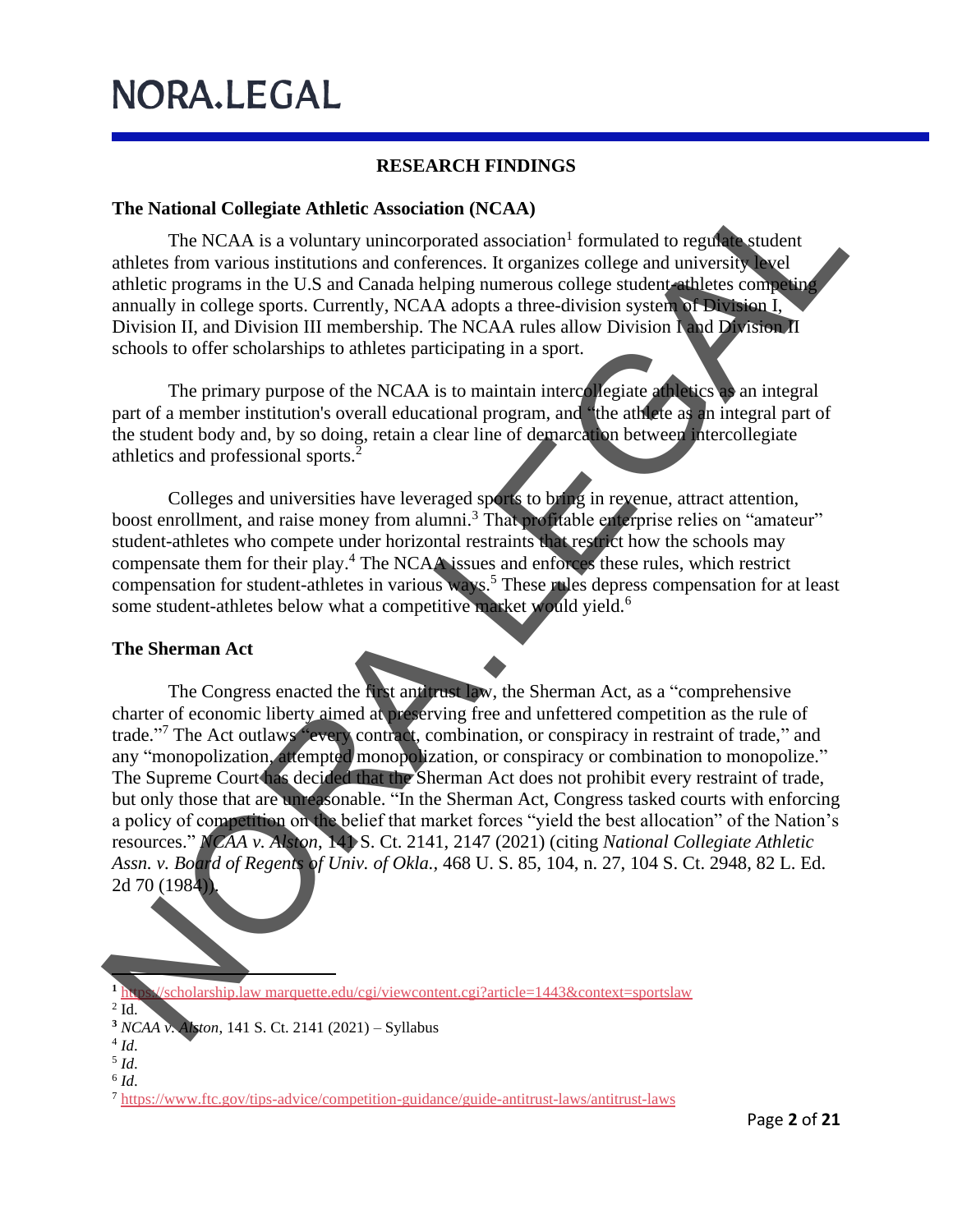#### **RESEARCH FINDINGS**

#### **The National Collegiate Athletic Association (NCAA)**

The NCAA is a voluntary unincorporated association<sup>1</sup> formulated to regulate student athletes from various institutions and conferences. It organizes college and university level athletic programs in the U.S and Canada helping numerous college student-athletes competing annually in college sports. Currently, NCAA adopts a three-division system of Division I, Division II, and Division III membership. The NCAA rules allow Division I and Division II schools to offer scholarships to athletes participating in a sport.

The primary purpose of the NCAA is to maintain intercollegiate athletics as an integral part of a member institution's overall educational program, and "the athlete as an integral part of the student body and, by so doing, retain a clear line of demarcation between intercollegiate athletics and professional sports.<sup>2</sup>

Colleges and universities have leveraged sports to bring in revenue, attract attention, boost enrollment, and raise money from alumni.<sup>3</sup> That profitable enterprise relies on "amateur" student-athletes who compete under horizontal restraints that restrict how the schools may compensate them for their play.<sup>4</sup> The NCAA issues and enforces these rules, which restrict compensation for student-athletes in various ways.<sup>5</sup> These rules depress compensation for at least some student-athletes below what a competitive market would yield.<sup>6</sup>

#### **The Sherman Act**

The Congress enacted the first antitrust law, the Sherman Act, as a "comprehensive charter of economic liberty aimed at preserving free and unfettered competition as the rule of trade." <sup>7</sup> The Act outlaws "every contract, combination, or conspiracy in restraint of trade," and any "monopolization, attempted monopolization, or conspiracy or combination to monopolize." The Supreme Court has decided that the Sherman Act does not prohibit every restraint of trade, but only those that are unreasonable. "In the Sherman Act, Congress tasked courts with enforcing a policy of competition on the belief that market forces "yield the best allocation" of the Nation's resources." *NCAA v. Alston*, 141 S. Ct. 2141, 2147 (2021) (citing *National Collegiate Athletic Assn. v. Board of Regents of Univ. of Okla.,* 468 U. S. 85, 104, n. 27, 104 S. Ct. 2948, 82 L. Ed. 2d 70 (1984)). The National Collegiate Athletic Association (NCAA)<br>
allies. From Various institutions and conferences. It organizes college and university, we<br>
alliest from various institutions and conferences. It organizes college and

**<sup>1</sup>** https://scholarship.law marquette.edu/cgi/viewcontent.cgi?article=1443&context=sportslaw

 $2$  Id.

**<sup>3</sup>** *NCAA v. Alston*, 141 S. Ct. 2141 (2021) – Syllabus

<sup>4</sup> *Id*.

<sup>5</sup> *Id*.

<sup>6</sup> *Id*.

<sup>&</sup>lt;sup>7</sup> https://www.ftc.gov/tips-advice/competition-guidance/guide-antitrust-laws/antitrust-laws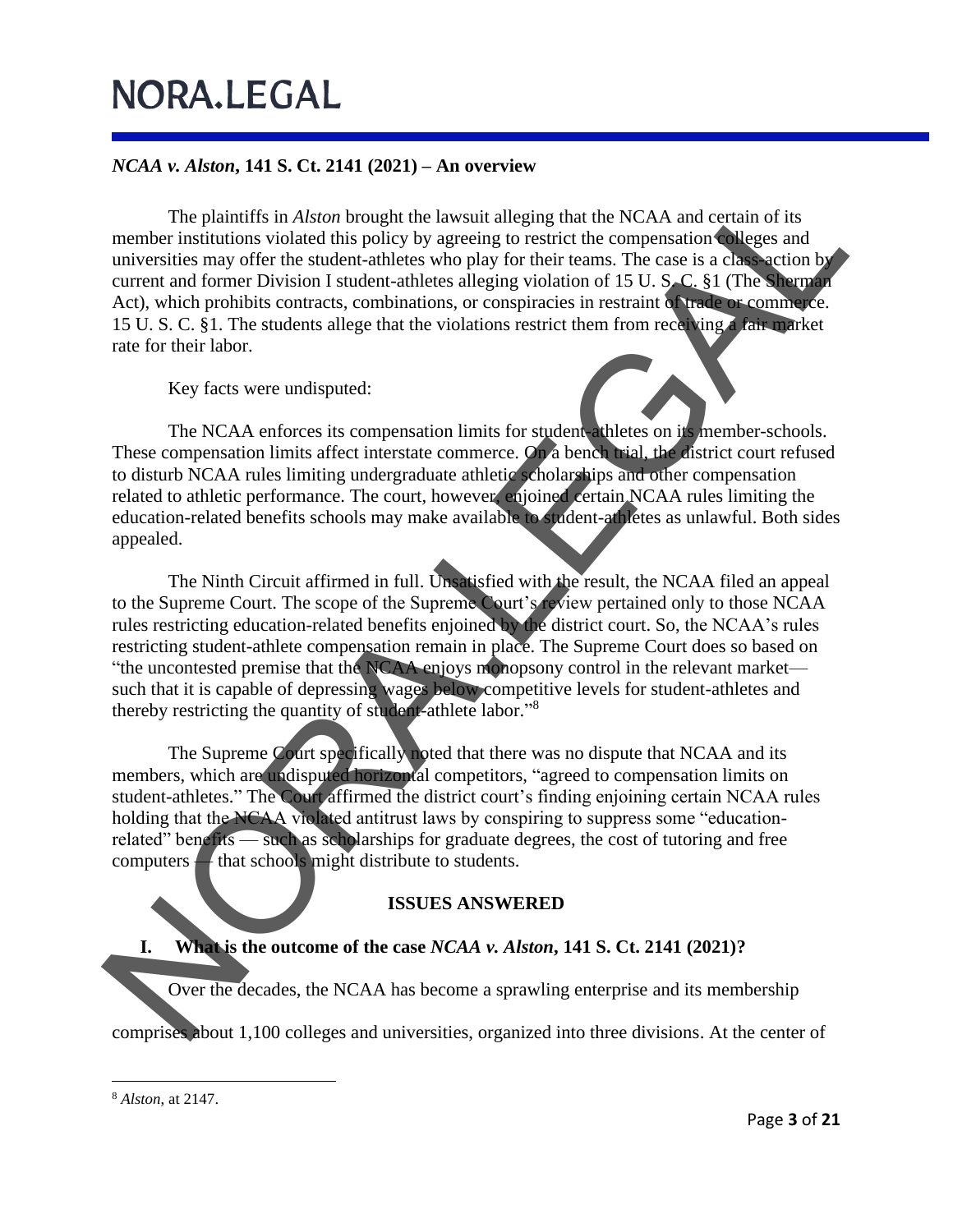### *NCAA v. Alston***, 141 S. Ct. 2141 (2021) – An overview**

The plaintiffs in *Alston* brought the lawsuit alleging that the NCAA and certain of its member institutions violated this policy by agreeing to restrict the compensation colleges and universities may offer the student-athletes who play for their teams. The case is a class-action by current and former Division I student-athletes alleging violation of 15 U. S. C. §1 (The Sherman Act), which prohibits contracts, combinations, or conspiracies in restraint of trade or commerce. 15 U. S. C. §1. The students allege that the violations restrict them from receiving a fair market rate for their labor. The plaintiffs in Aftern henoubt the lawsnit alleging that the NCAA and certain of its<br>universities may offer the student-allelese who play for their teams. The case is a cla. Neither between the former bivision 1 studien

Key facts were undisputed:



The NCAA enforces its compensation limits for student-athletes on its member-schools. These compensation limits affect interstate commerce. On a bench trial, the district court refused to disturb NCAA rules limiting undergraduate athletic scholarships and other compensation related to athletic performance. The court, however, enjoined certain NCAA rules limiting the education-related benefits schools may make available to student-athletes as unlawful. Both sides appealed.

The Ninth Circuit affirmed in full. Unsatisfied with the result, the NCAA filed an appeal to the Supreme Court. The scope of the Supreme Court's review pertained only to those NCAA rules restricting education-related benefits enjoined by the district court. So, the NCAA's rules restricting student-athlete compensation remain in place. The Supreme Court does so based on "the uncontested premise that the NCAA enjoys monopsony control in the relevant market such that it is capable of depressing wages below competitive levels for student-athletes and thereby restricting the quantity of student-athlete labor."<sup>8</sup>

The Supreme Court specifically noted that there was no dispute that NCAA and its members, which are undisputed horizontal competitors, "agreed to compensation limits on student-athletes." The Court affirmed the district court's finding enjoining certain NCAA rules holding that the NCAA violated antitrust laws by conspiring to suppress some "educationrelated" benefits — such as scholarships for graduate degrees, the cost of tutoring and free computers — that schools might distribute to students.

### **ISSUES ANSWERED**

### **I. What is the outcome of the case** *NCAA v. Alston***, 141 S. Ct. 2141 (2021)?**

Over the decades, the NCAA has become a sprawling enterprise and its membership

comprises about 1,100 colleges and universities, organized into three divisions. At the center of

<sup>8</sup> *Alston*, at 2147 .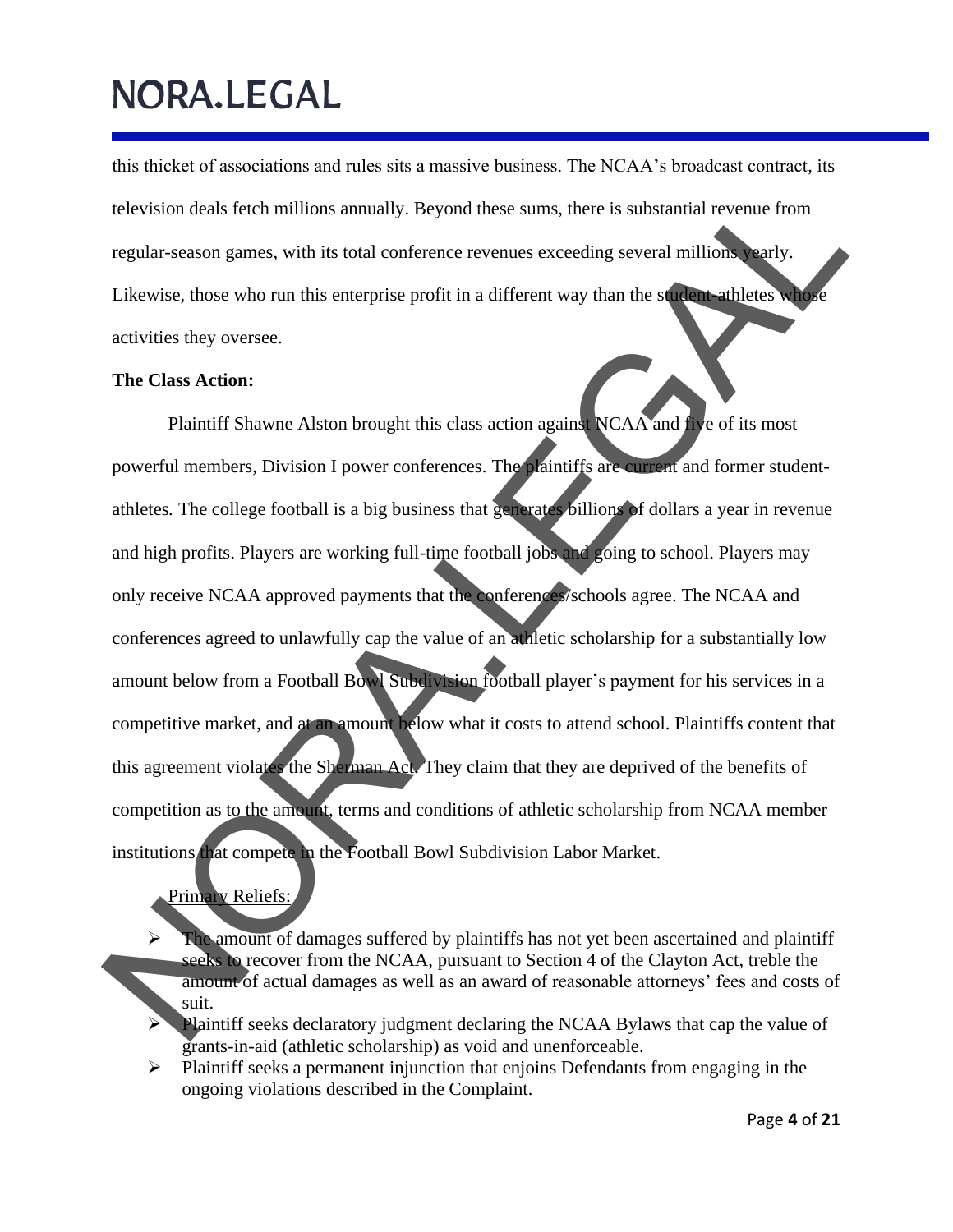this thicket of associations and rules sits a massive business. The NCAA's broadcast contract, its television deals fetch millions annually. Beyond these sums, there is substantial revenue from regular-season games, with its total conference revenues exceeding several millions yearly. Likewise, those who run this enterprise profit in a different way than the student-athletes whose activities they oversee.

#### **The Class Action:**

Plaintiff Shawne Alston brought this class action against NCAA and five of its most powerful members, Division I power conferences. The plaintiffs are current and former studentathletes*.* The college football is a big business that generates billions of dollars a year in revenue and high profits. Players are working full-time football jobs and going to school. Players may only receive NCAA approved payments that the conferences/schools agree. The NCAA and conferences agreed to unlawfully cap the value of an athletic scholarship for a substantially low amount below from a Football Bowl Subdivision football player's payment for his services in a competitive market, and at an amount below what it costs to attend school. Plaintiffs content that this agreement violates the Sherman Act. They claim that they are deprived of the benefits of competition as to the amount, terms and conditions of athletic scholarship from NCAA member institutions that compete in the Football Bowl Subdivision Labor Market. relevision deals feech millions amoually. Beyond these sums, there is substantial revenue from<br>regular-season games, with its total conference revenues exceeding several millions weak.<br>Likewise, those who run this energris

Primary Reliefs:

➢ The amount of damages suffered by plaintiffs has not yet been ascertained and plaintiff seeks to recover from the NCAA, pursuant to Section 4 of the Clayton Act, treble the amount of actual damages as well as an award of reasonable attorneys' fees and costs of suit.

Plaintiff seeks declaratory judgment declaring the NCAA Bylaws that cap the value of grants-in-aid (athletic scholarship) as void and unenforceable.

➢ Plaintiff seeks a permanent injunction that enjoins Defendants from engaging in the ongoing violations described in th e Complaint.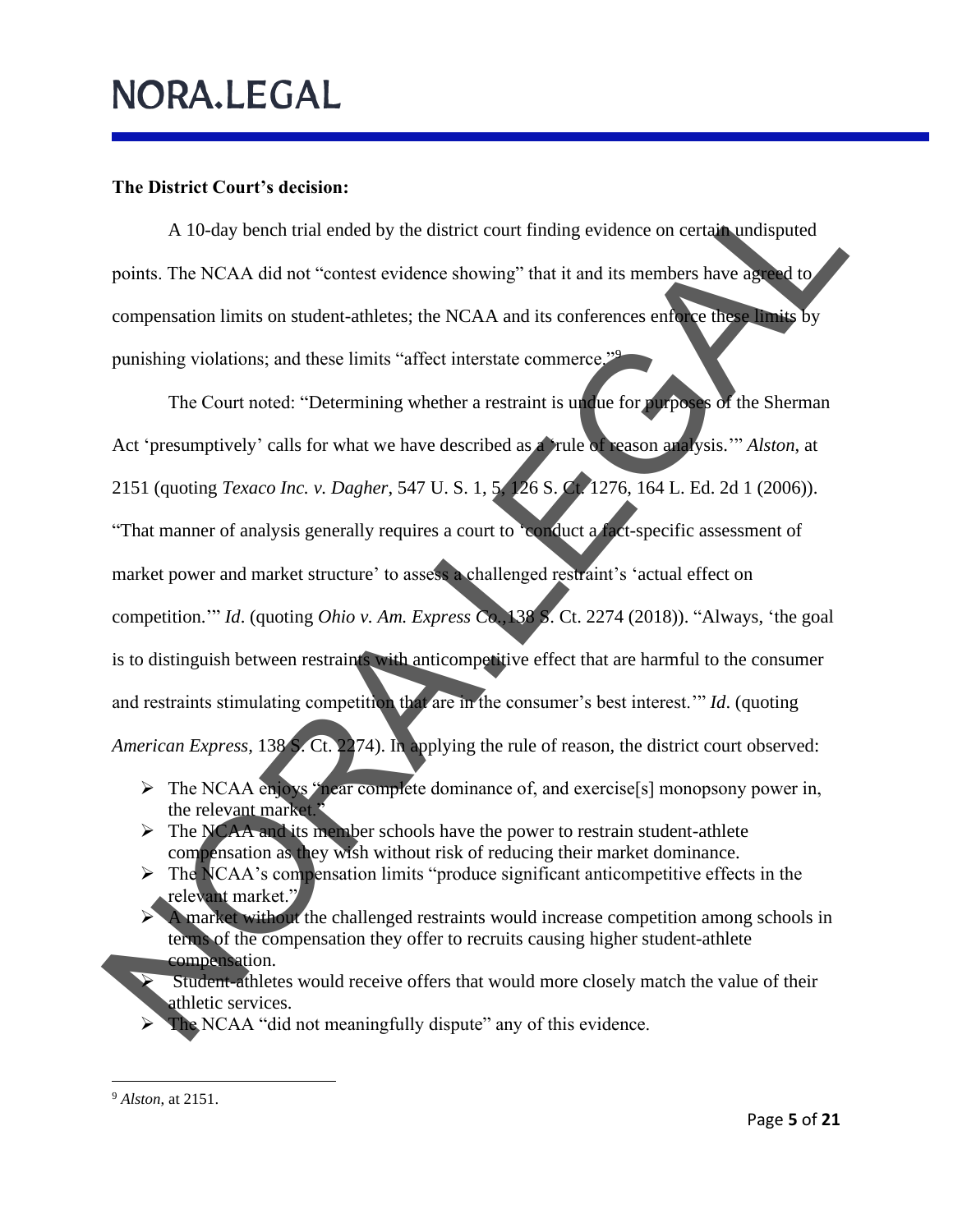#### **The District Court's decision:**

A 10-day bench trial ended by the district court finding evidence on certain undisputed points. The NCAA did not "contest evidence showing" that it and its members have agreed to compensation limits on student-athletes; the NCAA and its conferences enforce these limits by punishing violations; and these limits "affect interstate commerce."<sup>9</sup>

The Court noted: "Determining whether a restraint is undue for purposes of the Sherman Act 'presumptively' calls for what we have described as a 'rule of reason analysis.'" *Alston*, at 2151 (quoting *Texaco Inc. v. Dagher*, 547 U. S. 1, 5, 126 S. Ct. 1276, 164 L. Ed. 2d 1 (2006)). "That manner of analysis generally requires a court to 'conduct a fact-specific assessment of market power and market structure' to assess a challenged restraint's 'actual effect on competition.'" *Id*. (quoting *Ohio v. Am. Express Co.,*138 S. Ct. 2274 (2018)). "Always, 'the goal is to distinguish between restraints with anticompetitive effect that are harmful to the consumer and restraints stimulating competition that are in the consumer's best interest.'" *Id*. (quoting *American Express,* 138 S. Ct. 2274). In applying the rule of reason, the district court observed: The District Court's decision:<br>
A 10-day bench trial ended by the district court finding evidence on certain indisputed<br>
points. The NCAA did not "contest evidence showing" that it and its members have also<br>
compressation

- ➢ The NCAA enjoys "near complete dominance of, and exercise[s] monopsony power in, the relevant market."
- ➢ The NCAA and its member schools have the power to restrain student-athlete compensation as they wish without risk of reducing their market dominance.
- ➢ The NCAA's compensation limits "produce significant anticompetitive effects in the relevant market."
- ➢ A market without the challenged restraints would increase competition among schools in terms of the compensation they offer to recruits causing higher student-athlete compensation.
	- Student-athletes would receive offers that would more closely match the value of their athletic services.
- ➢ The NCAA "did not meaningfully dispute" any of this evidence.

<sup>9</sup> *Alston*, at 2151.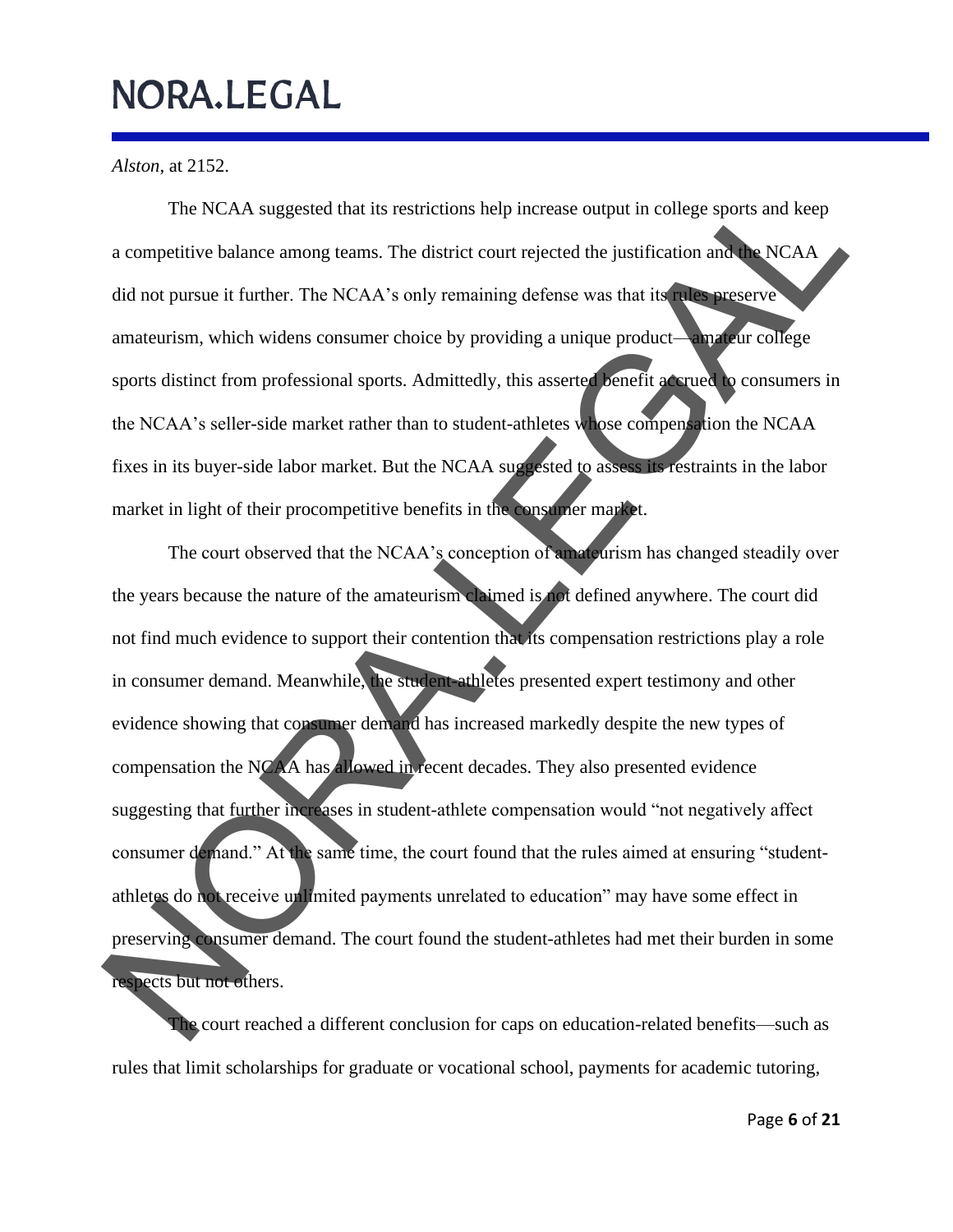*Alston*, at 2152.

The NCAA suggested that its restrictions help increase output in college sports and keep a competitive balance among teams. The district court rejected the justification and the NCAA did not pursue it further. The NCAA's only remaining defense was that its rules preserve amateurism, which widens consumer choice by providing a unique product—amateur college sports distinct from professional sports. Admittedly, this asserted benefit accrued to consumers in the NCAA's seller-side market rather than to student-athletes whose compensation the NCAA fixes in its buyer-side labor market. But the NCAA suggested to assess its restraints in the labor market in light of their procompetitive benefits in the consumer market.

The court observed that the NCAA's conception of amateurism has changed steadily over the years because the nature of the amateurism claimed is not defined anywhere. The court did not find much evidence to support their contention that its compensation restrictions play a role in consumer demand. Meanwhile, the student-athletes presented expert testimony and other evidence showing that consumer demand has increased markedly despite the new types of compensation the NCAA has allowed in recent decades. They also presented evidence suggesting that further increases in student-athlete compensation would "not negatively affect consumer demand." At the same time, the court found that the rules aimed at ensuring "studentathletes do not receive unlimited payments unrelated to education" may have some effect in preserving consumer demand. The court found the student-athletes had met their burden in some respects but not others. The NCAA suggested that its restrictions help increase output in college sports and keep<br>a competitive balance among teams. The district court rejected the justification and<br>did not pursue it further. The NCAA's only remai

The court reached a different conclusion for caps on education-related benefits—such as rules that limit scholarships for graduate or vocational school, payments for academic tutoring,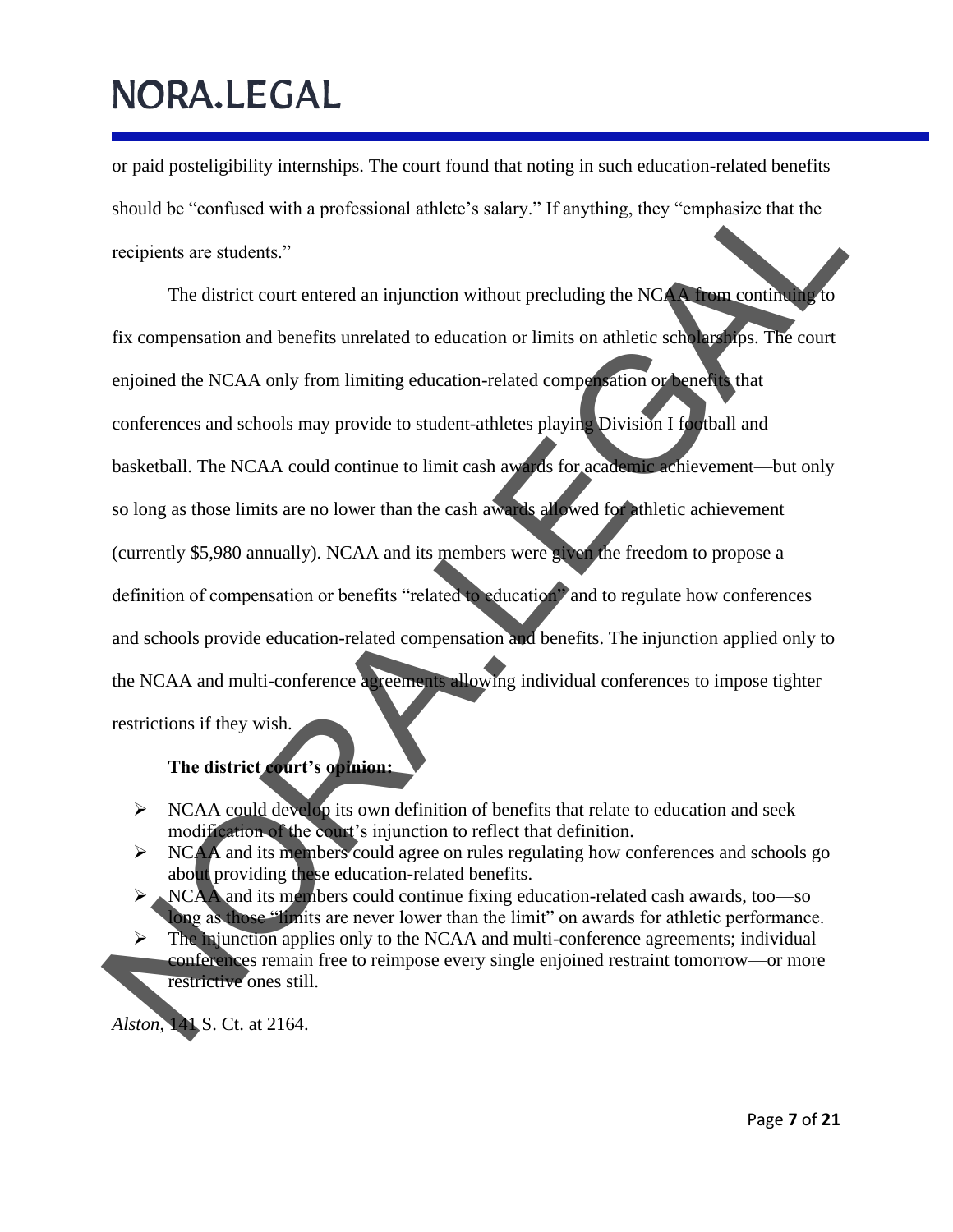or paid posteligibility internships. The court found that noting in such education-related benefits should be "confused with a professional athlete's salary." If anything, they "emphasize that the recipients are students."

The district court entered an injunction without precluding the NCAA from continuing to fix compensation and benefits unrelated to education or limits on athletic scholarships. The court enjoined the NCAA only from limiting education-related compensation or benefits that conferences and schools may provide to student-athletes playing Division I football and basketball. The NCAA could continue to limit cash awards for academic achievement—but only so long as those limits are no lower than the cash awards allowed for athletic achievement (currently \$5,980 annually). NCAA and its members were given the freedom to propose a definition of compensation or benefits "related to education" and to regulate how conferences and schools provide education-related compensation and benefits. The injunction applied only to the NCAA and multi-conference agreements allowing individual conferences to impose tighter restrictions if they wish. Should be "confused with a professional athlete's salary." If anything, they "emphasize that the<br>recipients are students."<br>The district court entered an injunction without precluding the NCC are recorded<br>fix componention a

**The district court's opinion:**

- ➢ NCAA could develop its own definition of benefits that relate to education and seek modification of the court's injunction to reflect that definition.
- ➢ NCAA and its members could agree on rules regulating how conferences and schools go about providing these education-related benefits.
- ➢ NCAA and its members could continue fixing education-related cash awards, too—so long as those "limits are never lower than the limit" on awards for athletic performance.
- $\triangleright$  The munction applies only to the NCAA and multi-conference agreements; individual conferences remain free to reimpose every single enjoined restraint tomorrow—or more restrictive ones still.

*Alston*, 141 S. Ct. at 2164.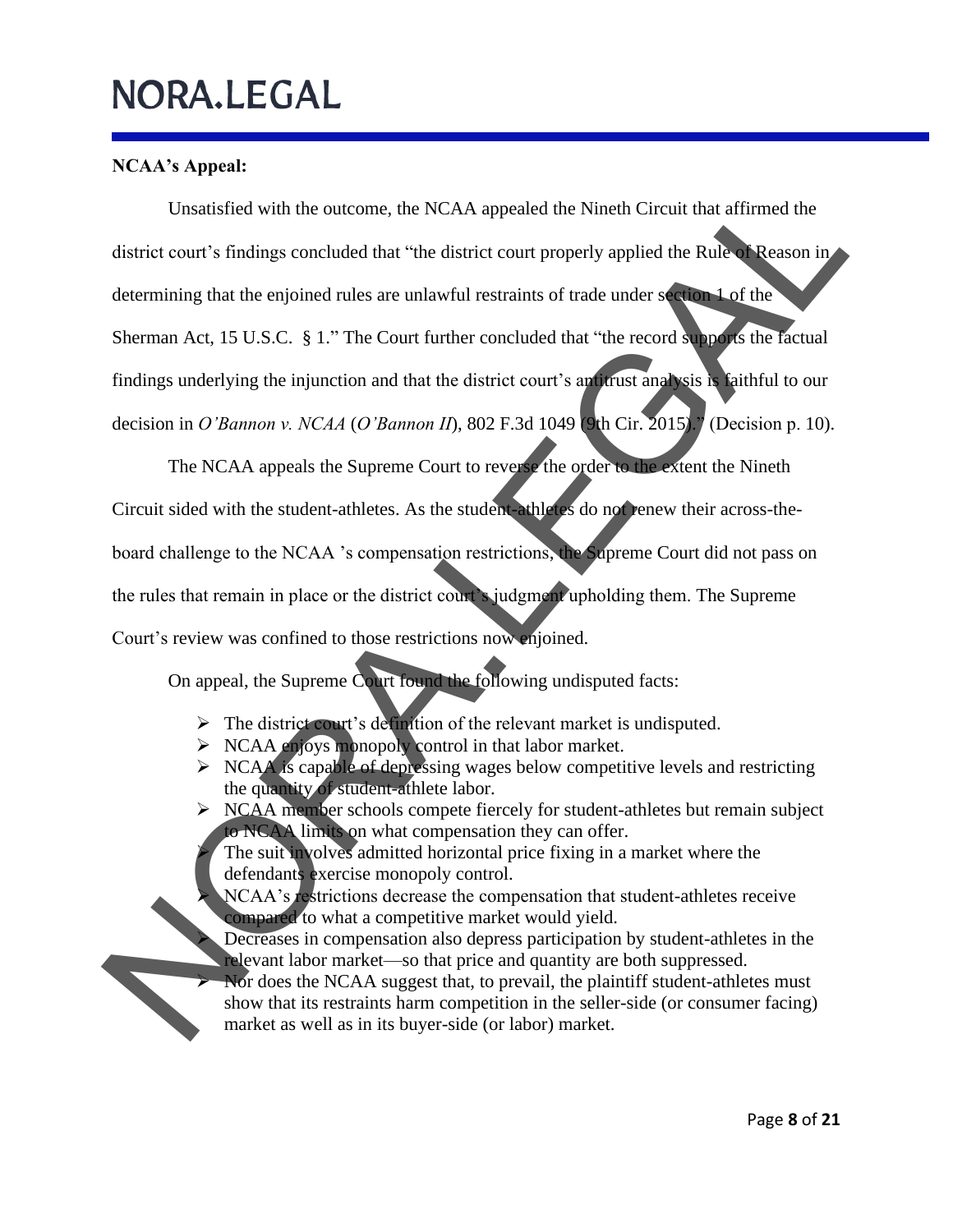### **NCAA's Appeal:**

Unsatisfied with the outcome, the NCAA appealed the Nineth Circuit that affirmed the district court's findings concluded that "the district court properly applied the Rule of Reason in determining that the enjoined rules are unlawful restraints of trade under section 1 of the Sherman Act, 15 U.S.C. § 1." The Court further concluded that "the record supports the factual findings underlying the injunction and that the district court's antitrust analysis is faithful to our decision in *O'Bannon v. NCAA* (*O'Bannon II*), 802 F.3d 1049 (9th Cir. 2015)." (Decision p. 10). Unsatisfied with the outcome, the NCAA appealed the Nineth Circuit that affirmed the<br>district court is findings concluded that "the district court properly applied the Rules.<br>
Determining that the enjoined rules are unlaw

The NCAA appeals the Supreme Court to reverse the order to the extent the Nineth Circuit sided with the student-athletes. As the student-athletes do not renew their across-theboard challenge to the NCAA 's compensation restrictions, the Supreme Court did not pass on the rules that remain in place or the district court's judgment upholding them. The Supreme Court's review was confined to those restrictions now enjoined.

On appeal, the Supreme Court found the following undisputed facts:

- ➢ The district court's definition of the relevant market is undisputed.
- ➢ NCAA enjoys monopoly control in that labor market.
- $\triangleright$  NCAA is capable of depressing wages below competitive levels and restricting the quantity of student-athlete labor.
- ➢ NCAA member schools compete fiercely for student-athletes but remain subject to NCAA limits on what compensation they can offer.

The suit involves admitted horizontal price fixing in a market where the defendants exercise monopoly control.

- NCAA's restrictions decrease the compensation that student-athletes receive compared to what a competitive market would yield.
- ➢ Decreases in compensation also depress participation by student-athletes in the relevant labor market—so that price and quantity are both suppressed.
- ➢ Nor does the NCAA suggest that, to prevail, the plaintiff student-athletes must show that its restraints harm competition in the seller-side (or consumer facing) market as well as in its buyer-side (or labor) market.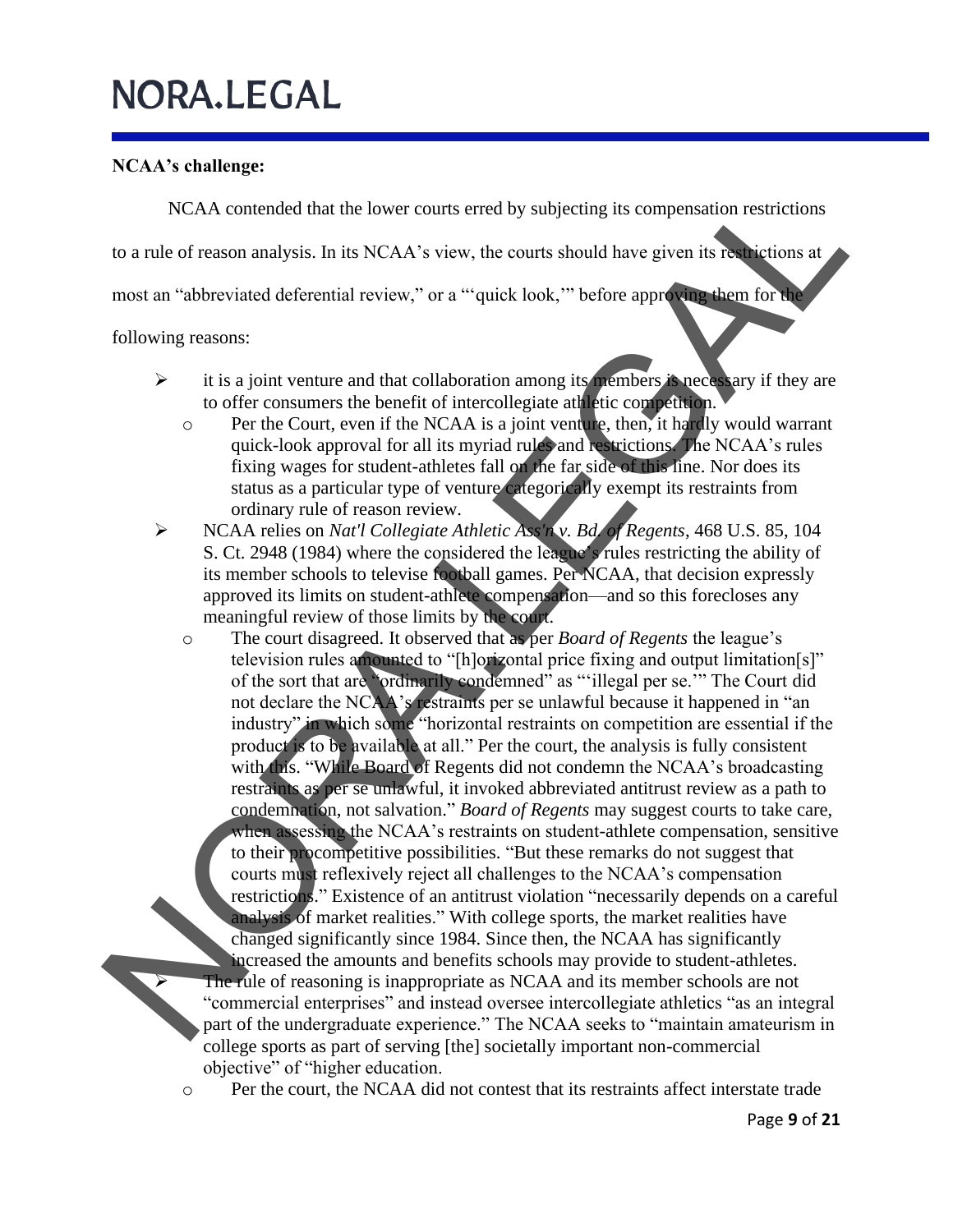### **NCAA's challenge:**

NCAA contended that the lower courts erred by subjecting its compensation restrictions

to a rule of reason analysis. In its NCAA's view, the courts should have given its restrictions at

most an "abbreviated deferential review," or a "'quick look,'" before approving them for the

following reasons:

- ➢ it is a joint venture and that collaboration among its members is necessary if they are to offer consumers the benefit of intercollegiate athletic competition.
	- o Per the Court, even if the NCAA is a joint venture, then, it hardly would warrant quick-look approval for all its myriad rules and restrictions. The NCAA's rules fixing wages for student-athletes fall on the far side of this line. Nor does its status as a particular type of venture categorically exempt its restraints from ordinary rule of reason review.
- ➢ NCAA relies on *Nat'l Collegiate Athletic Ass'n v. Bd. of Regents*, 468 U.S. 85, 104 S. Ct. 2948 (1984) where the considered the league's rules restricting the ability of its member schools to televise football games. Per NCAA, that decision expressly approved its limits on student-athlete compensation—and so this forecloses any meaningful review of those limits by the court.
- o The court disagreed. It observed that as per *Board of Regents* the league's television rules amounted to "[h]orizontal price fixing and output limitation[s]" of the sort that are "ordinarily condemned" as "'illegal per se.'" The Court did not declare the NCAA's restraints per se unlawful because it happened in "an industry" in which some "horizontal restraints on competition are essential if the product is to be available at all." Per the court, the analysis is fully consistent with this. "While Board of Regents did not condemn the NCAA's broadcasting restraints as per se unlawful, it invoked abbreviated antitrust review as a path to condemnation, not salvation." *Board of Regents* may suggest courts to take care, when assessing the NCAA's restraints on student-athlete compensation, sensitive to their procompetitive possibilities. "But these remarks do not suggest that courts must reflexively reject all challenges to the NCAA's compensation restrictions." Existence of an antitrust violation "necessarily depends on a careful analysis of market realities." With college sports, the market realities have changed significantly since 1984. Since then, the NCAA has significantly increased the amounts and benefits schools may provide to student-athletes. The rule of reasoning is inappropriate as NCAA and its member schools are not "commercial enterprises" and instead oversee intercollegiate athletics "as an integral part of the undergraduate experience." The NCAA seeks to "maintain amateurism in college sports as part of serving [the] societally important non-commercial objective" of "higher education. NCAA contended that the lower courts erred by subjecting its compensation restrictions to a rule of reason analysis. In its NCAA's view, the courts should have given its reduced accounts at most content and reduced defere
	- o Per the court, the NCAA did not contest that its restraints affect interstate trade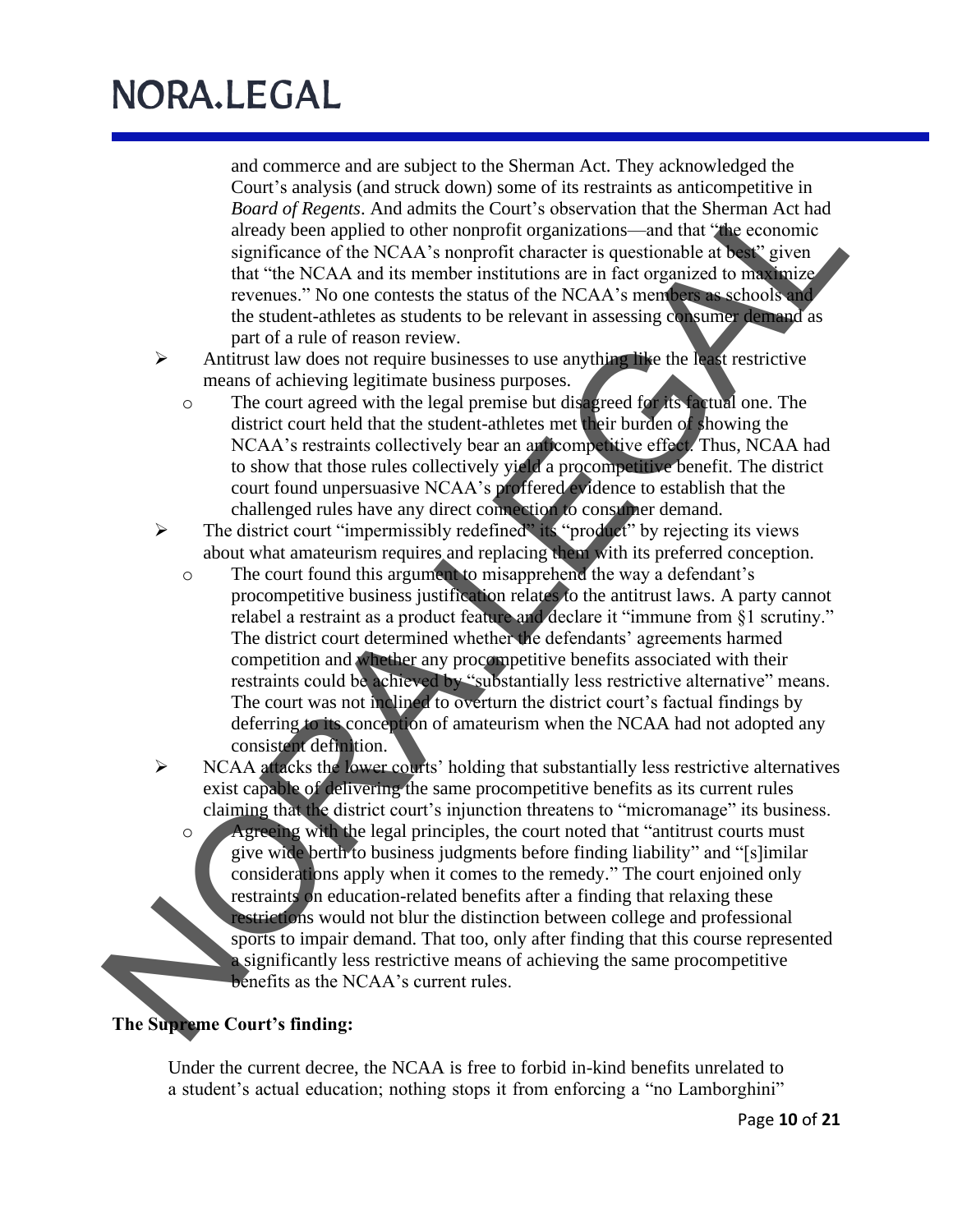and commerce and are subject to the Sherman Act. They acknowledged the Court's analysis (and struck down) some of its restraints as anticompetitive in *Board of Regents*. And admits the Court's observation that the Sherman Act had already been applied to other nonprofit organizations—and that "the economic significance of the NCAA's nonprofit character is questionable at best" given that "the NCAA and its member institutions are in fact organized to maximize revenues." No one contests the status of the NCAA's members as schools and the student-athletes as students to be relevant in assessing consumer demand as part of a rule of reason review.

- ➢ Antitrust law does not require businesses to use anything like the least restrictive means of achieving legitimate business purposes.
	- o The court agreed with the legal premise but disagreed for its factual one. The district court held that the student-athletes met their burden of showing the NCAA's restraints collectively bear an anticompetitive effect. Thus, NCAA had to show that those rules collectively yield a procompetitive benefit. The district court found unpersuasive NCAA's proffered evidence to establish that the challenged rules have any direct connection to consumer demand.
- ➢ The district court "impermissibly redefined" its "product" by rejecting its views about what amateurism requires and replacing them with its preferred conception.
- o The court found this argument to misapprehend the way a defendant's procompetitive business justification relates to the antitrust laws. A party cannot relabel a restraint as a product feature and declare it "immune from §1 scrutiny." The district court determined whether the defendants' agreements harmed competition and whether any procompetitive benefits associated with their restraints could be achieved by "substantially less restrictive alternative" means. The court was not inclined to overturn the district court's factual findings by deferring to its conception of amateurism when the NCAA had not adopted any consistent definition. Court's and started down) some of its restraints as anticompetitive in a starting denoted by the starting conducts of the NCAA and significance of the NCAA's norprolit chromater is questionable at the genomic starting of
	- $\triangleright$  NCAA attacks the lower courts' holding that substantially less restrictive alternatives exist capable of delivering the same procompetitive benefits as its current rules claiming that the district court's injunction threatens to "micromanage" its business.
		- o Agreeing with the legal principles, the court noted that "antitrust courts must give wide berth to business judgments before finding liability" and "[s]imilar considerations apply when it comes to the remedy." The court enjoined only restraints on education-related benefits after a finding that relaxing these restrictions would not blur the distinction between college and professional sports to impair demand. That too, only after finding that this course represented a significantly less restrictive means of achieving the same procompetitive benefits as the NCAA's current rules.

### **The Supreme Court's finding:**

Under the current decree, the NCAA is free to forbid in-kind benefits unrelated to a student's actual education; nothing stops it from enforcing a "no Lamborghini"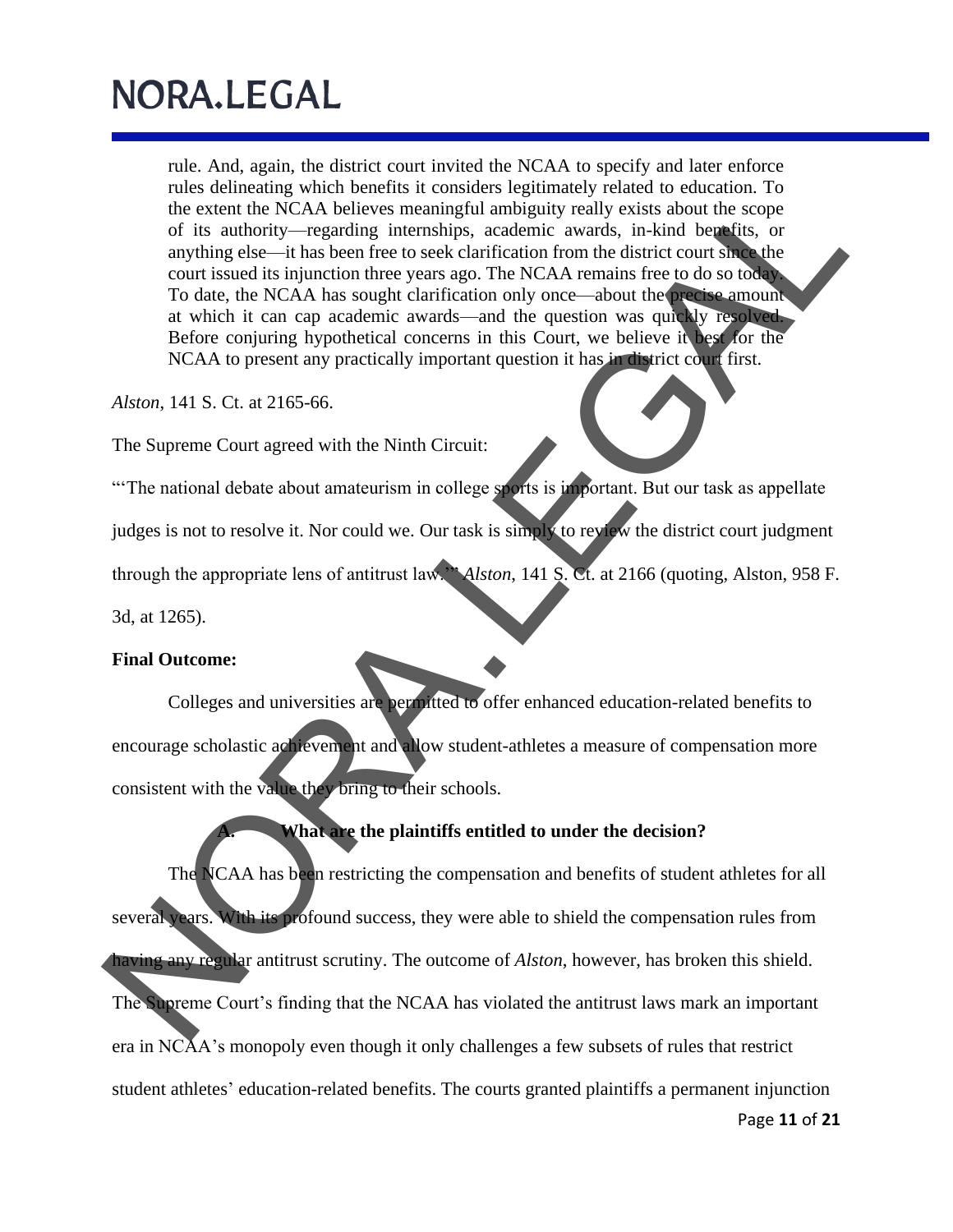rule. And, again, the district court invited the NCAA to specify and later enforce rules delineating which benefits it considers legitimately related to education. To the extent the NCAA believes meaningful ambiguity really exists about the scope of its authority—regarding internships, academic awards, in-kind benefits, or anything else—it has been free to seek clarification from the district court since the court issued its injunction three years ago. The NCAA remains free to do so today. To date, the NCAA has sought clarification only once—about the precise amount at which it can cap academic awards—and the question was quickly resolved. Before conjuring hypothetical concerns in this Court, we believe it best for the NCAA to present any practically important question it has in district court first.

*Alston*, 141 S. Ct. at 2165-66.

The Supreme Court agreed with the Ninth Circuit:

"The national debate about amateurism in college sports is important. But our task as appellate judges is not to resolve it. Nor could we. Our task is simply to review the district court judgment through the appropriate lens of antitrust law.'" *Alston*, 141 S. Ct. at 2166 (quoting, Alston, 958 F.

3d, at 1265).

#### **Final Outcome:**

Colleges and universities are permitted to offer enhanced education-related benefits to encourage scholastic achievement and allow student-athletes a measure of compensation more consistent with the value they bring to their schools.

#### **A. What are the plaintiffs entitled to under the decision?**

The NCAA has been restricting the compensation and benefits of student athletes for all several years. With its profound success, they were able to shield the compensation rules from having any regular antitrust scrutiny. The outcome of *Alston*, however, has broken this shield. The Supreme Court's finding that the NCAA has violated the antitrust laws mark an important era in NCAA's monopoly even though it only challenges a few subsets of rules that restrict student athletes ' education-related benefits. The courts granted plaintiffs a permanent injunction rlas delinearia which henditis in considerable is incoming the due to charaction. To<br>the extent the NCAA believes meaningful ambiguity really exists about the scope<br>of its subtroff--regarding intensibility, exadely really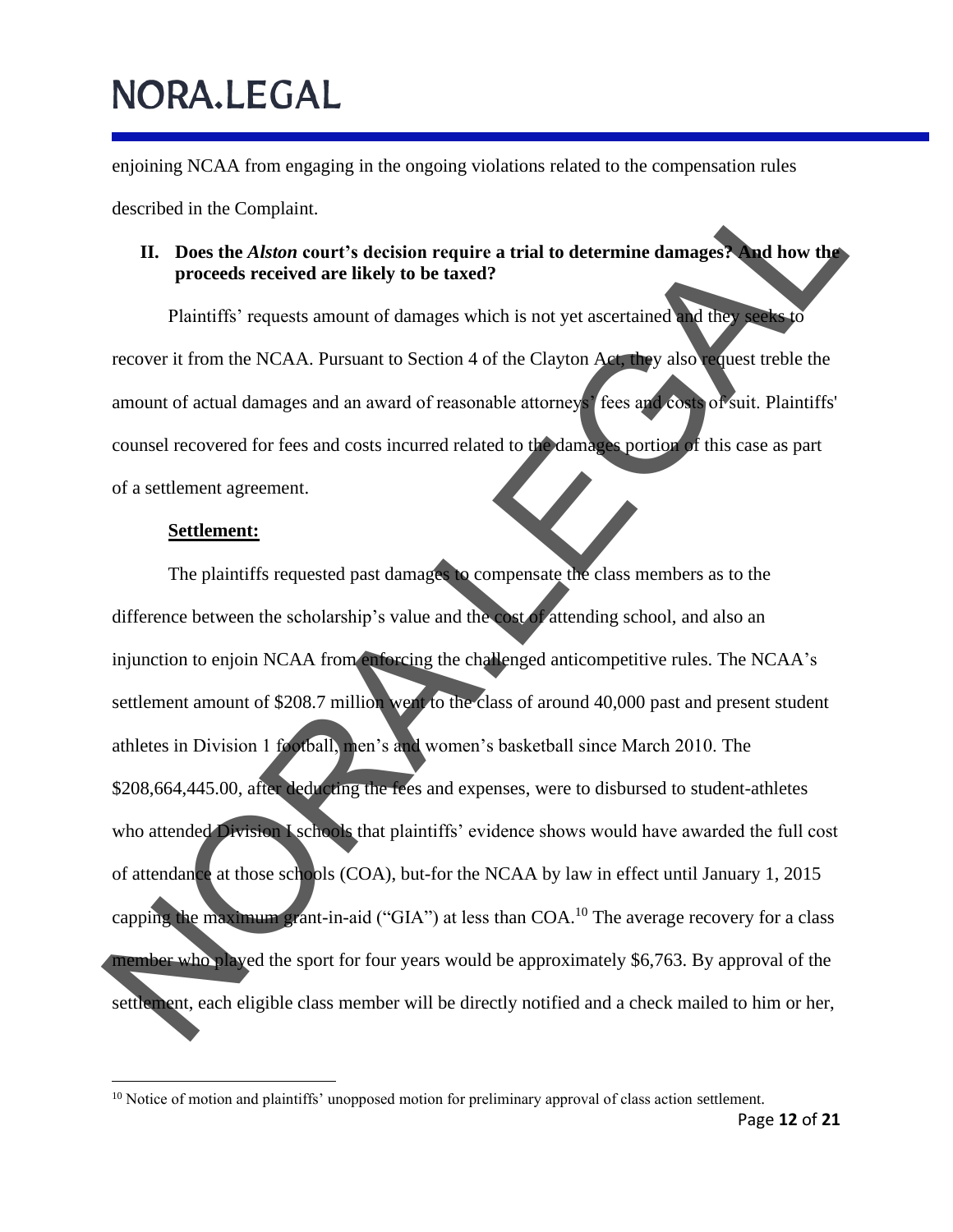enjoining NCAA from engaging in the ongoing violations related to the compensation rules

described in the Complaint.

#### **II. Does the** *Alston* **court's decision require a trial to determine damages? And how the proceeds received are likely to be taxed?**

Plaintiffs' requests amount of damages which is not yet ascertained and they seeks to recover it from the NCAA. Pursuant to Section 4 of the Clayton Act, they also request treble the amount of actual damages and an award of reasonable attorneys' fees and costs of suit. Plaintiffs' counsel recovered for fees and costs incurred related to the damages portion of this case as part of a settlement agreement.

#### **Settlement:**

The plaintiffs requested past damages to compensate the class members as to the difference between the scholarship's value and the cost of attending school, and also an injunction to enjoin NCAA from enforcing the challenged anticompetitive rules. The NCAA's settlement amount of \$208.7 million went to the class of around 40,000 past and present student athletes in Division 1 football, men's and women's basketball since March 2010. The \$208,664,445.00, after deducting the fees and expenses, were to disbursed to student-athletes who attended Division I schools that plaintiffs' evidence shows would have awarded the full cost of attendance at those schools (COA), but-for the NCAA by law in effect until January 1, 2015 capping the maximum grant-in-aid ("GIA") at less than COA.<sup>10</sup> The average recovery for a class member who played the sport for four years would be approximately \$6,763. By approval of the settlement, each eligible class member will be directly notified and a check mailed to him or her, described in the Completion.<br>
II. Does the *Abton* court's decision require a trial to determine damages. and how the<br>
proceeds received are likely to be taxed?<br>
Plaintiffs' requests amount of damages which is not yet asc

 $10$  Notice of motion and plaintiffs' unopposed motion for preliminary approval of class action settlement.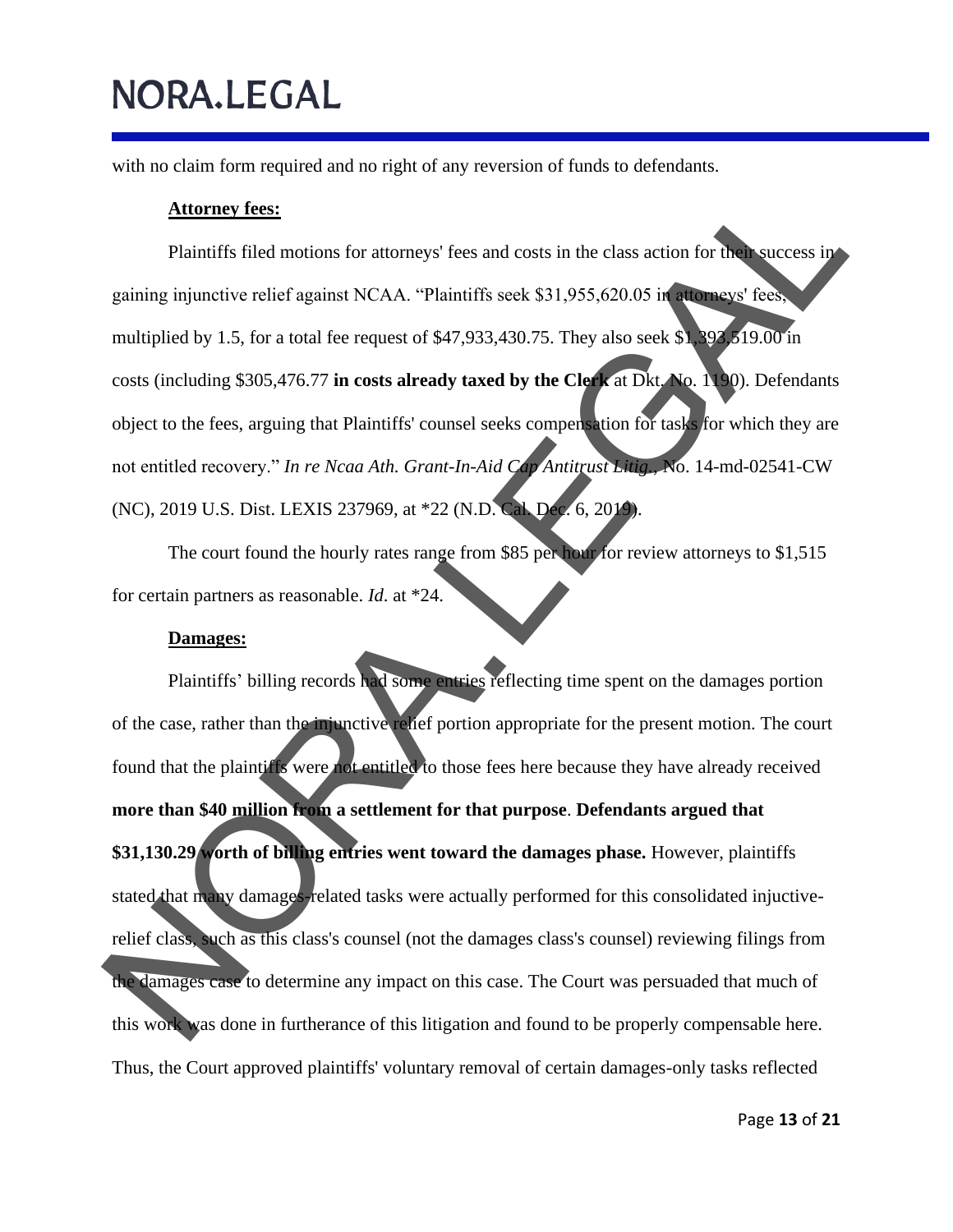with no claim form required and no right of any reversion of funds to defendants.

#### **Attorney fees:**

Plaintiffs filed motions for attorneys' fees and costs in the class action for their success in gaining injunctive relief against NCAA. "Plaintiffs seek \$31,955,620.05 in attorneys' fees, multiplied by 1.5, for a total fee request of \$47,933,430.75. They also seek \$1,393,519.00 in costs (including \$305,476.77 **in costs already taxed by the Clerk** at Dkt. No. 1190). Defendants object to the fees, arguing that Plaintiffs' counsel seeks compensation for tasks for which they are not entitled recovery." *In re Ncaa Ath. Grant-In-Aid Cap Antitrust Litig.*, No. 14-md-02541-CW (NC), 2019 U.S. Dist. LEXIS 237969, at \*22 (N.D. Cal. Dec. 6, 2019).

The court found the hourly rates range from \$85 per hour for review attorneys to \$1,515 for certain partners as reasonable. *Id*. at \*24.

#### **Damages:**

Plaintiffs' billing records had some entries reflecting time spent on the damages portion of the case, rather than the injunctive relief portion appropriate for the present motion. The court found that the plaintiffs were not entitled to those fees here because they have already received **more than \$40 million from a settlement for that purpose**. **Defendants argued that \$31,130.29 worth of billing entries went toward the damages phase.** However, plaintiffs stated that many damages-related tasks were actually performed for this consolidated injuctiverelief class, such as this class's counsel (not the damages class's counsel) reviewing filings from the damages case to determine any impact on this case. The Court was persuaded that much of this work was done in furtherance of this litigation and found to be properly compensable here. Thus, the Court approve d plaintiffs' voluntary removal of certain damages-only tasks reflected **Attorney fees:**<br>
Plaintiffs filed motions for attorneys' fees and costs in the class action for the success in<br>
gaining injunctive relief against NCAA. "Plaintiffs seek \$31,955,620.05 in<br>
multiplied by 1.5, for a total f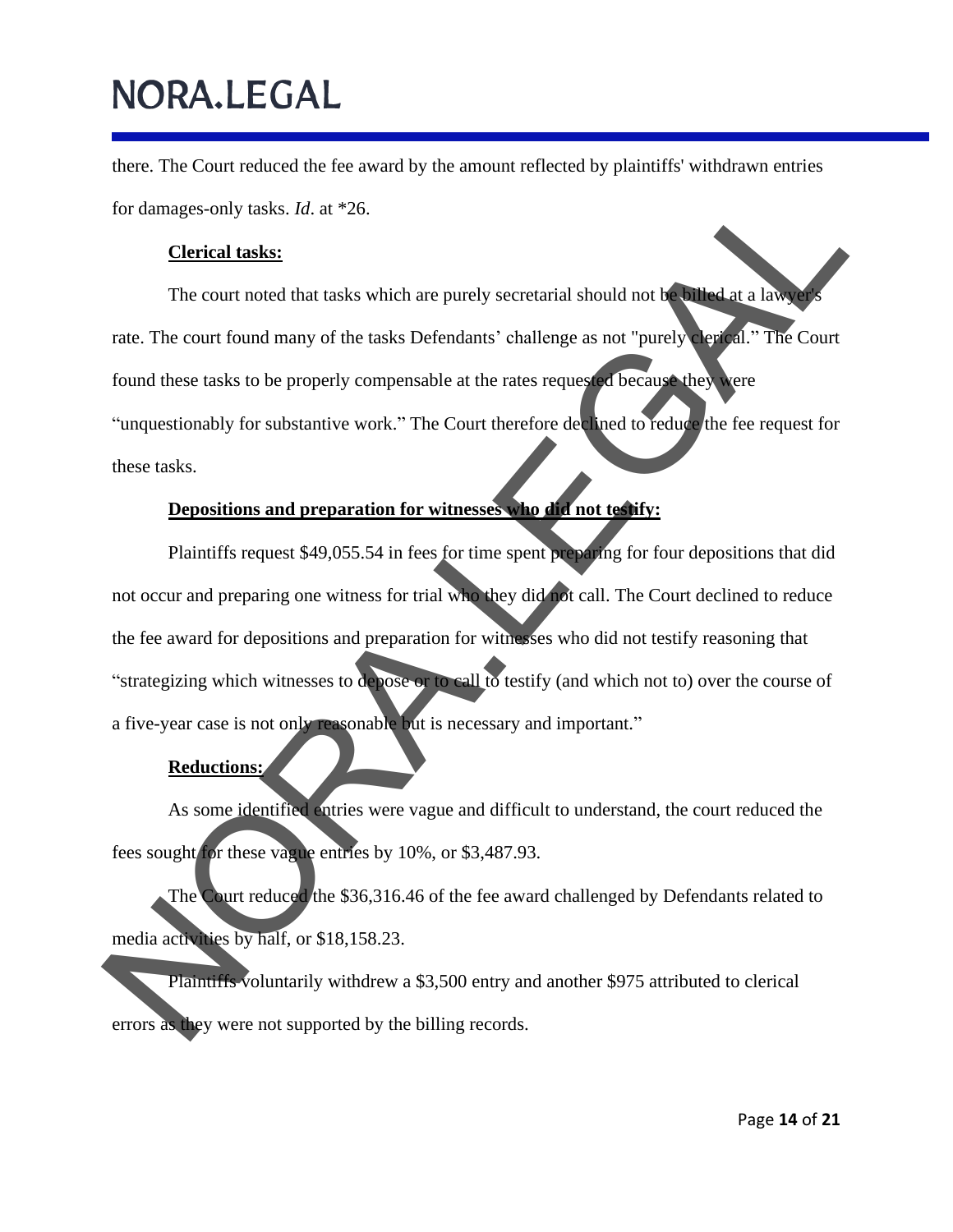there. The Court reduced the fee award by the amount reflected by plaintiffs' withdrawn entries for damages-only tasks. *Id*. at \*26.

#### **Clerical tasks:**

The court noted that tasks which are purely secretarial should not be billed at a lawyer rate. The court found many of the tasks Defendants' challenge as not "purely clerical." The Court found these tasks to be properly compensable at the rates requested because they were "unquestionably for substantive work." The Court therefore declined to reduce the fee request for these tasks.

### **Depositions and preparation for witnesses who did not testify:**

Plaintiffs request \$49,055.54 in fees for time spent preparing for four depositions that did not occur and preparing one witness for trial who they did not call. The Court declined to reduce the fee award for depositions and preparation for witnesses who did not testify reasoning that "strategizing which witnesses to depose or to call to testify (and which not to) over the course of a five-year case is not only reasonable but is necessary and important." For damages only tasks. Id. at \*26.<br>
The court noted that tasks which are purely secretarial should not the state allows<br>
rate. The court found many of the tasks Defendants' challenge as not "purely server."<br>
The Court fou

#### **Reductions:**

As some identified entries were vague and difficult to understand, the court reduced the fees sought for these vague entries by 10%, or \$3,487.93.

The Court reduced the \$36,316.46 of the fee award challenged by Defendants related to media activities by half, or \$18,158.23.

Plaintiffs voluntarily withdrew a \$3,500 entry and another \$975 attributed to clerical errors as they were not supported by the billing records.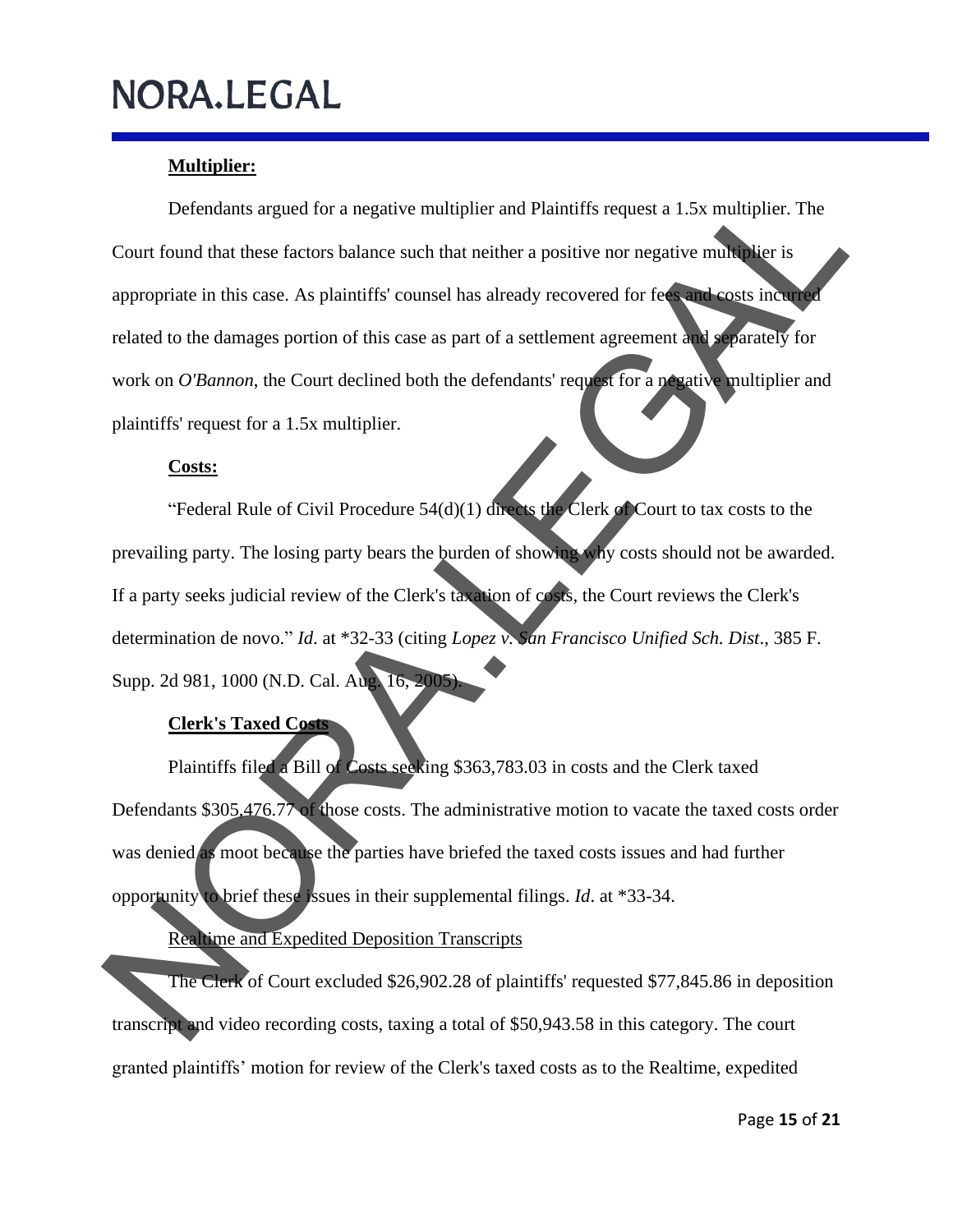### **Multiplier:**

Defendants argued for a negative multiplier and Plaintiffs request a 1.5x multiplier. The Court found that these factors balance such that neither a positive nor negative multiplier is appropriate in this case. As plaintiffs' counsel has already recovered for fees and costs incurred related to the damages portion of this case as part of a settlement agreement and separately for work on *O'Bannon*, the Court declined both the defendants' request for a negative multiplier and plaintiffs' request for a 1.5x multiplier. Defendants argned for a negative multiplier and Plaintiffs request a 1.5x multiplier. The<br>
Court found that these factors balance such that neither a positive nor negative multiplier. The<br>
appropriate in this case. As plai

#### **Costs:**

"Federal Rule of Civil Procedure  $54(d)(1)$  directs the Clerk of Court to tax costs to the prevailing party. The losing party bears the burden of showing why costs should not be awarded. If a party seeks judicial review of the Clerk's taxation of costs, the Court reviews the Clerk's determination de novo." *Id*. at \*32-33 (citing *Lopez v. San Francisco Unified Sch. Dist*., 385 F. Supp. 2d 981, 1000 (N.D. Cal. Aug. 16, 2005).

#### **Clerk's Taxed Costs**

Plaintiffs filed a Bill of Costs seeking \$363,783.03 in costs and the Clerk taxed Defendants \$305,476.77 of those costs. The administrative motion to vacate the taxed costs order was denied as moot because the parties have briefed the taxed costs issues and had further opportunity to brief these issues in their supplemental filings. *Id*. at \*33-34.

Realtime and Expedited Deposition Transcripts

The Clerk of Court excluded \$26,902.28 of plaintiffs' requested \$77,845.86 in deposition transcript and video recording costs, taxing a total of \$50,943.58 in this category. The court granted plaintiffs' motion for review of the Clerk's taxed costs as to the Realtime, expedited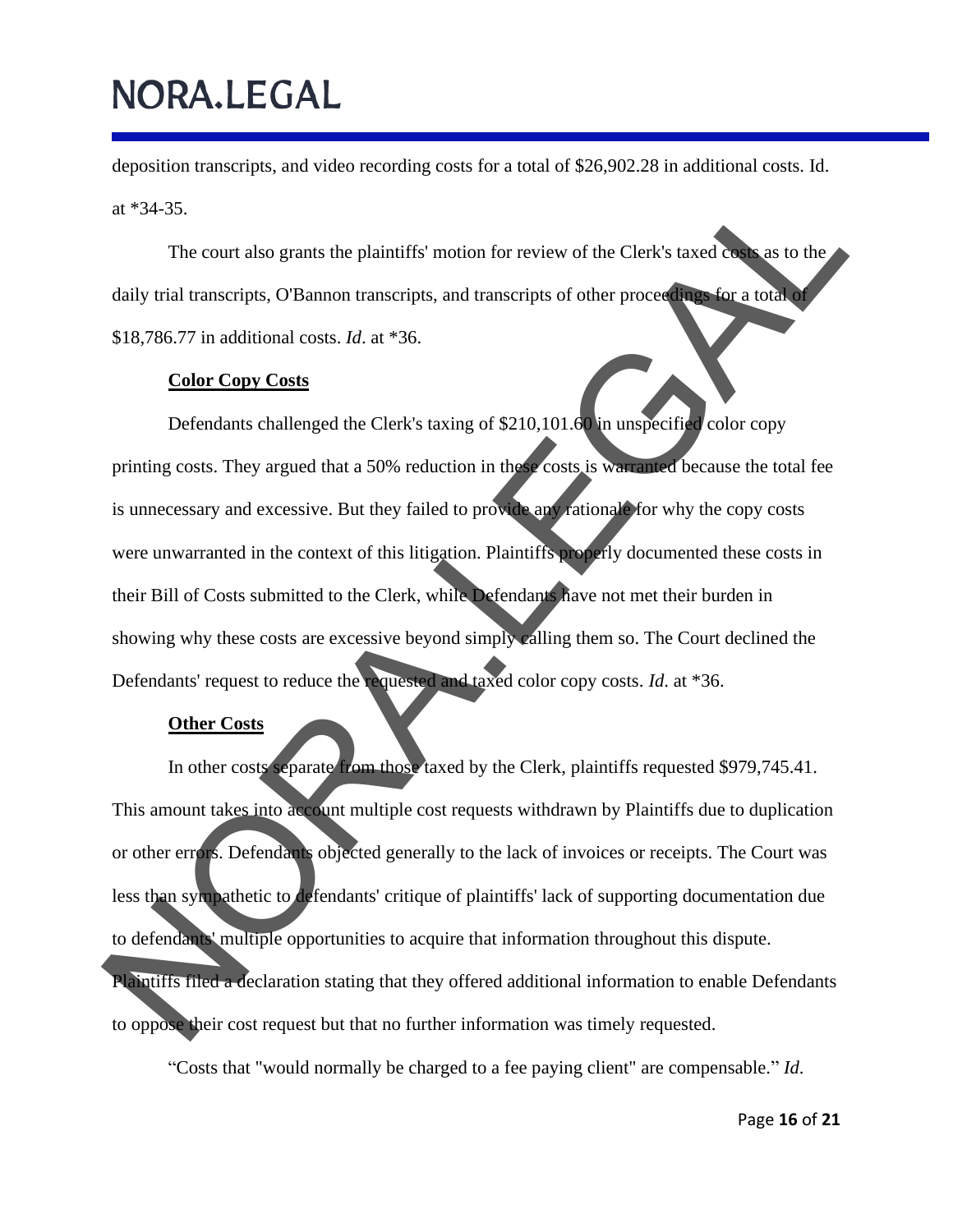deposition transcripts, and video recording costs for a total of \$26,902.28 in additional costs. Id. at \*34-35.

The court also grants the plaintiffs' motion for review of the Clerk's taxed costs as to the daily trial transcripts, O'Bannon transcripts, and transcripts of other proceedings for a total of \$18,786.77 in additional costs. *Id*. at \*36.

#### **Color Copy Costs**

Defendants challenged the Clerk's taxing of \$210,101.60 in unspecified color copy printing costs. They argued that a 50% reduction in these costs is warranted because the total fee is unnecessary and excessive. But they failed to provide any rationale for why the copy costs were unwarranted in the context of this litigation. Plaintiffs properly documented these costs in their Bill of Costs submitted to the Clerk, while Defendants have not met their burden in showing why these costs are excessive beyond simply calling them so. The Court declined the Defendants' request to reduce the requested and taxed color copy costs. *Id*. at \*36. at "34-35.<br>The court also grants the plaintiffs' motion for review of the Clerk's taxed on as to the<br>daily trial transcripts. O Bannon transcripts, and transcripts of other proceed on the state of<br>S18,786.77 in additional

#### **Other Costs**

In other costs separate from those taxed by the Clerk, plaintiffs requested \$979,745.41. This amount takes into account multiple cost requests withdrawn by Plaintiffs due to duplication or other errors. Defendants objected generally to the lack of invoices or receipts. The Court was less than sympathetic to defendants' critique of plaintiffs' lack of supporting documentation due to defendants' multiple opportunities to acquire that information throughout this dispute. Plaintiffs filed a declaration stating that they offered additional information to enable Defendants

to oppose their cost request but that no further information was timely requested.

"Costs that "would normally be charged to a fee paying client" are compensable. " *Id*.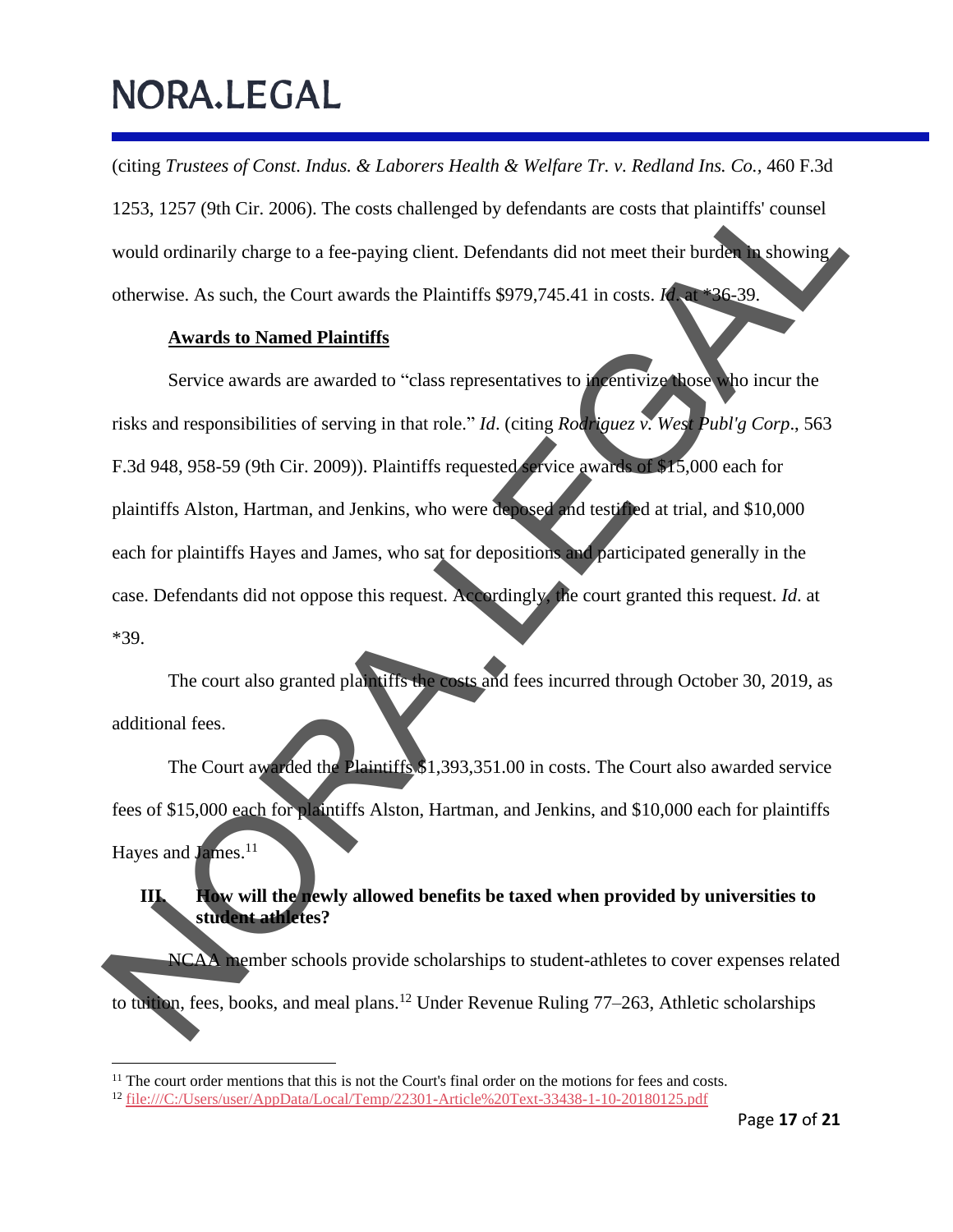(citing *Trustees of Const. Indus. & Laborers Health & Welfare Tr. v. Redland Ins. Co.,* 460 F.3d 1253, 1257 (9th Cir. 2006). The costs challenged by defendants are costs that plaintiffs' counsel would ordinarily charge to a fee-paying client. Defendants did not meet their burden in showing otherwise. As such, the Court awards the Plaintiffs \$979,745.41 in costs. *Id*. at \*36-39.

#### **Awards to Named Plaintiffs**

Service awards are awarded to "class representatives to incentivize those who incur the risks and responsibilities of serving in that role." *Id*. (citing *Rodriguez v. West Publ'g Corp*., 563 F.3d 948, 958-59 (9th Cir. 2009)). Plaintiffs requested service awards of \$15,000 each for plaintiffs Alston, Hartman, and Jenkins, who were deposed and testified at trial, and \$10,000 each for plaintiffs Hayes and James, who sat for depositions and participated generally in the case. Defendants did not oppose this request. Accordingly, the court granted this request. *Id*. at \*39. 1253, 1257 (9th Cir. 2006). The costs challenged by defendants are costs that plaintiffs' courses!<br>
would ordinarily charge to a fee-paying client. Defendants did not meet their burden, showing<br>
otherwise. As such, the Co

The court also granted plaintiffs the costs and fees incurred through October 30, 2019, as additional fees.

The Court awarded the Plaintiffs \$1,393,351.00 in costs. The Court also awarded service fees of \$15,000 each for plaintiffs Alston, Hartman, and Jenkins, and \$10,000 each for plaintiffs Hayes and James.<sup>11</sup>

**III. How will the newly allowed benefits be taxed when provided by universities to student athletes?**

NCAA member schools provide scholarships to student-athletes to cover expenses related to tuition, fees, books, and meal plans.<sup>12</sup> Under Revenue Ruling 77–263, Athletic scholarships

 $11$  The court order mentions that this is not the Court's final order on the motions for fees and costs.

<sup>12</sup> file:///C:/Users/user/AppData/Local/T emp/22301-Article%20Text-33438-1-10-20180125.pdf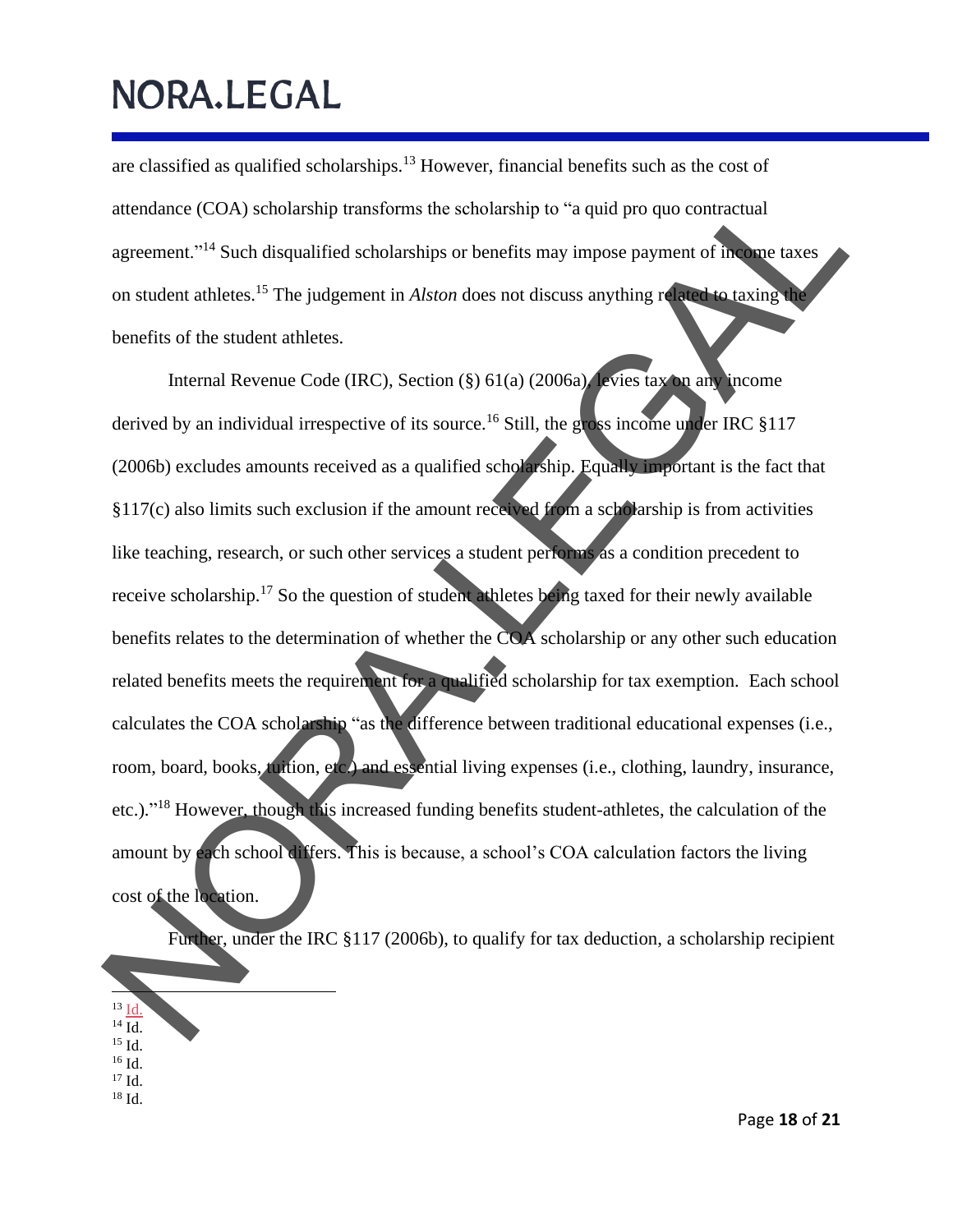are classified as qualified scholarships.<sup>13</sup> However, financial benefits such as the cost of attendance (COA) scholarship transforms the scholarship to "a quid pro quo contractual agreement."<sup>14</sup> Such disqualified scholarships or benefits may impose payment of income taxes on student athletes.<sup>15</sup> The judgement in *Alston* does not discuss anything related to taxing the benefits of the student athletes.

Internal Revenue Code (IRC), Section (§) 61(a) (2006a), levies tax on any income derived by an individual irrespective of its source.<sup>16</sup> Still, the gross income under IRC §117 (2006b) excludes amounts received as a qualified scholarship. Equally important is the fact that §117(c) also limits such exclusion if the amount received from a scholarship is from activities like teaching, research, or such other services a student performs as a condition precedent to receive scholarship.<sup>17</sup> So the question of student athletes being taxed for their newly available benefits relates to the determination of whether the COA scholarship or any other such education related benefits meets the requirement for a qualified scholarship for tax exemption. Each school calculates the COA scholarship "as the difference between traditional educational expenses (i.e., room, board, books, tuition, etc.) and essential living expenses (i.e., clothing, laundry, insurance, etc.)."<sup>18</sup> However, though this increased funding benefits student-athletes, the calculation of the amount by each school differs. This is because, a school's COA calculation factors the living cost of the location. attendance (COA) scholarship transforms the scholarship to "a quid pro quo contractual<br>agreement."<sup>14</sup> Such disqualified scholarships or benefits may impose payment of an ance taxes<br>on student athletes.<sup>15</sup> The judgement

Further, under the IRC §117 (2006b), to qualify for tax deduction, a scholarship recipient

- $13 \underline{Id}$
- $^{14}$  Id.
- <sup>15</sup> Id.
- $^{16}$  Id.
- $17$  Id. <sup>18</sup> Id.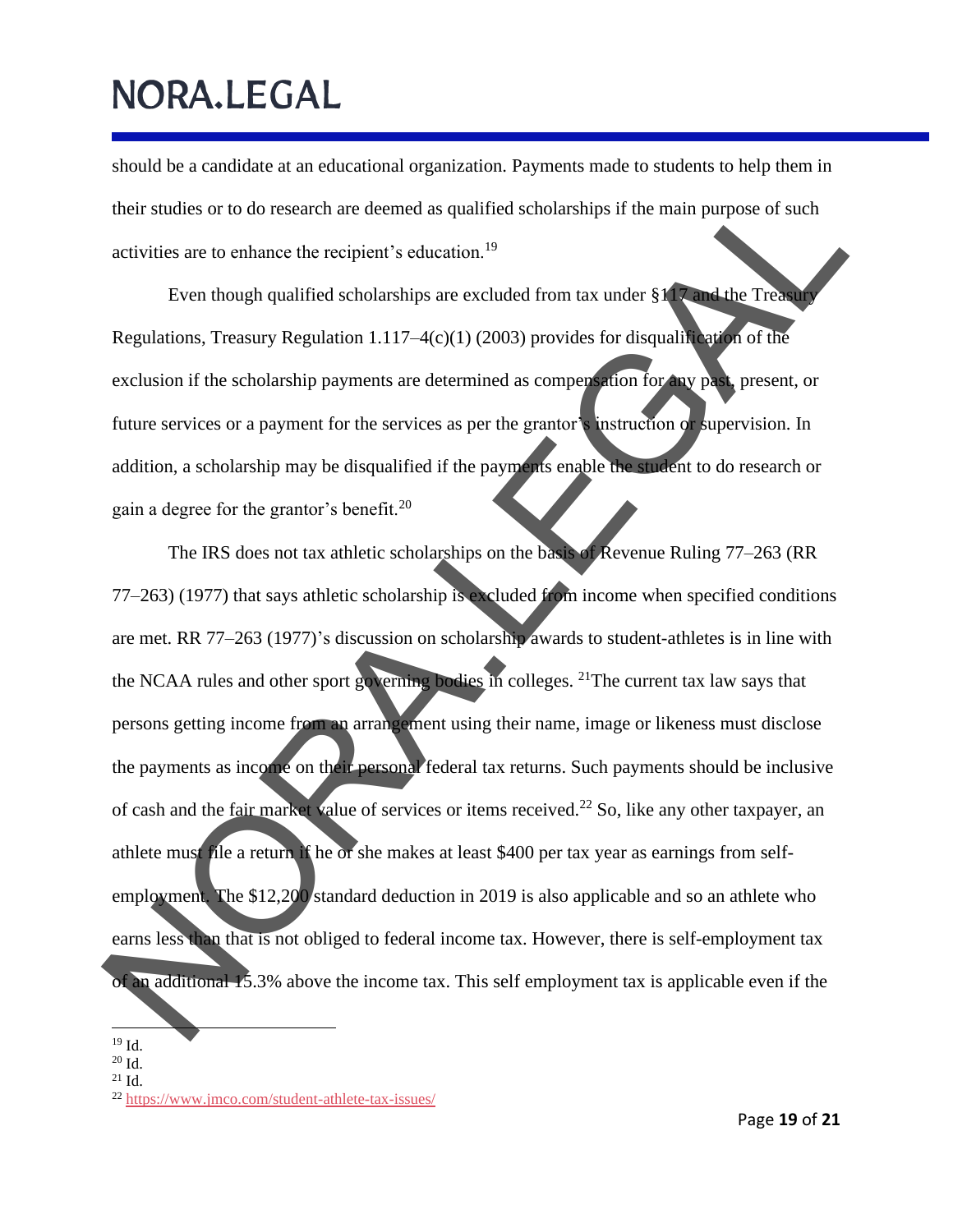should be a candidate at an educational organization. Payments made to students to help them in their studies or to do research are deemed as qualified scholarships if the main purpose of such activities are to enhance the recipient's education.<sup>19</sup>

Even though qualified scholarships are excluded from tax under  $§117$  and the Treasur Regulations, Treasury Regulation 1.117–4(c)(1) (2003) provides for disqualification of the exclusion if the scholarship payments are determined as compensation for any past, present, or future services or a payment for the services as per the grantor's instruction or supervision. In addition, a scholarship may be disqualified if the payments enable the student to do research or gain a degree for the grantor's benefit.<sup>20</sup>

The IRS does not tax athletic scholarships on the basis of Revenue Ruling 77–263 (RR 77–263) (1977) that says athletic scholarship is excluded from income when specified conditions are met. RR 77–263 (1977)'s discussion on scholarship awards to student-athletes is in line with the NCAA rules and other sport governing bodies in colleges. <sup>21</sup>The current tax law says that persons getting income from an arrangement using their name, image or likeness must disclose the payments as income on their personal federal tax returns. Such payments should be inclusive of cash and the fair market value of services or items received.<sup>22</sup> So, like any other taxpayer, an athlete must file a return if he or she makes at least \$400 per tax year as earnings from selfemployment. The \$12,200 standard deduction in 2019 is also applicable and so an athlete who earns less than that is not obliged to federal income tax. However, there is self-employment tax of an additional  $15.3\%$  above the income tax. This self employment tax is applicable even if the their studies or to do research are deemed as qualified scholarships if the main purpose of such<br>activities are to enhance the recipient's education.<sup>19</sup><br>Even though qualified scholarships are excluded from tax under \$1.

 $^{19}$  Id.

<sup>20</sup> Id.

 $21$  Id.

<sup>&</sup>lt;sup>22</sup> https://www.jmco.com/student-athlete-tax-issues/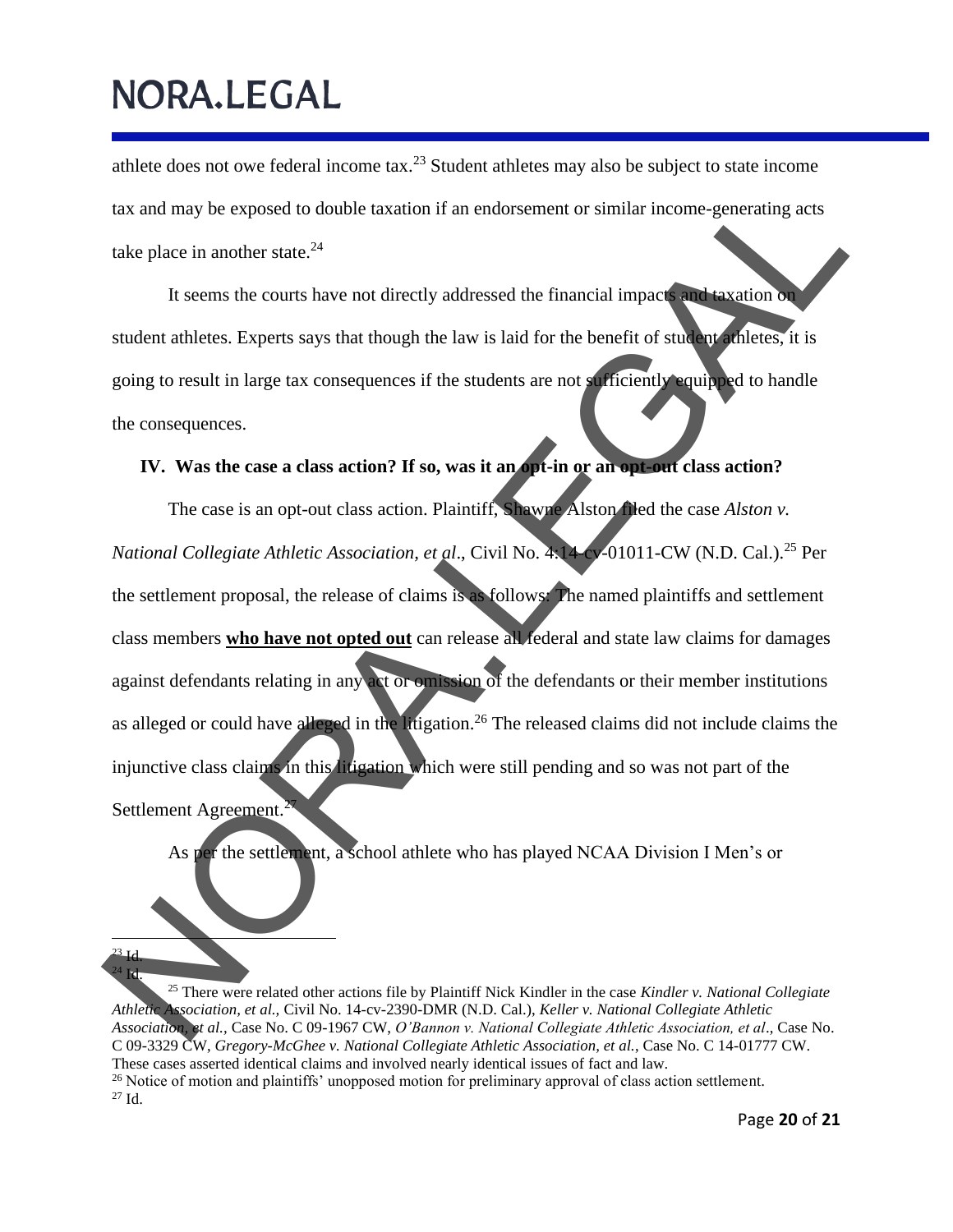athlete does not owe federal income tax.<sup>23</sup> Student athletes may also be subject to state income tax and may be exposed to double taxation if an endorsement or similar income-generating acts take place in another state.<sup>24</sup>

It seems the courts have not directly addressed the financial impacts and taxation on student athletes. Experts says that though the law is laid for the benefit of student athletes, it is going to result in large tax consequences if the students are not sufficiently equipped to handle the consequences.

### **IV. Was the case a class action? If so, was it an opt-in or an opt-out class action?**

The case is an opt-out class action. Plaintiff, Shawne Alston filed the case *Alston v. National Collegiate Athletic Association, et al*., Civil No. 4:14-cv-01011-CW (N.D. Cal.). <sup>25</sup> Per the settlement proposal, the release of claims is as follows: The named plaintiffs and settlement class members **who have not opted out** can release all federal and state law claims for damages against defendants relating in any act or omission of the defendants or their member institutions as alleged or could have alleged in the litigation.<sup>26</sup> The released claims did not include claims the injunctive class claims in this litigation which were still pending and so was not part of the Settlement Agreement. tax and may be exposed to double taxation if an endorsement or similar income-generating acts<br>
take place in another state.<sup>21</sup><br>
It seems the courts have not directly addressed the financial impact<br>
student athletes, Expe

As per the settlement, a school athlete who has played NCAA Division I Men's or

 $^{23}$  Id.

 $^{24}$  Id. <sup>25</sup> There were related other actions file by Plaintiff Nick Kindler in the case *Kindler v. National Collegiate Athletic Association, et al.,* Civil No. 14-cv-2390-DMR (N.D. Cal.), *Keller v. National Collegiate Athletic Association, et al.,* Case No. C 09-1967 CW, *O'Bannon v. National Collegiate Athletic Association, et al*., Case No. C 09-3329 CW, *Gregory-McGhee v. National Collegiate Athletic Association, et al.*, Case No. C 14-01777 CW. These cases asserted identical claims and involved nearly identical issues of fact and law.  $^{26}$  Notice of motion and plaintiffs' unopposed motion for preliminary approval of class action settlement. <sup>27</sup> Id.